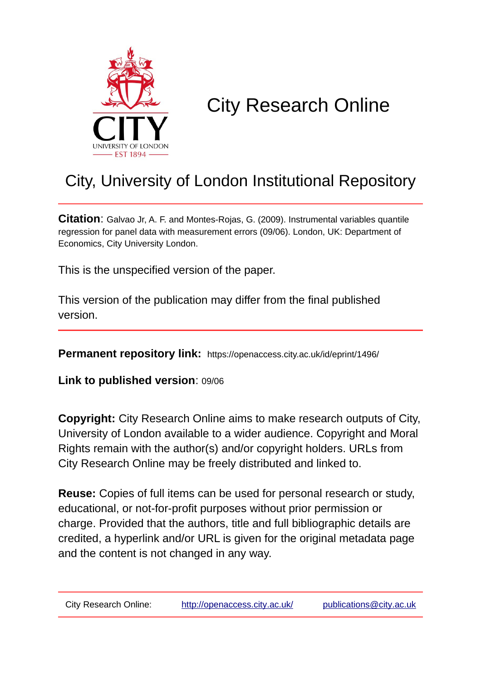

# City Research Online

# City, University of London Institutional Repository

**Citation**: Galvao Jr, A. F. and Montes-Rojas, G. (2009). Instrumental variables quantile regression for panel data with measurement errors (09/06). London, UK: Department of Economics, City University London.

This is the unspecified version of the paper.

This version of the publication may differ from the final published version.

**Permanent repository link:** https://openaccess.city.ac.uk/id/eprint/1496/

**Link to published version**: 09/06

**Copyright:** City Research Online aims to make research outputs of City, University of London available to a wider audience. Copyright and Moral Rights remain with the author(s) and/or copyright holders. URLs from City Research Online may be freely distributed and linked to.

**Reuse:** Copies of full items can be used for personal research or study, educational, or not-for-profit purposes without prior permission or charge. Provided that the authors, title and full bibliographic details are credited, a hyperlink and/or URL is given for the original metadata page and the content is not changed in any way.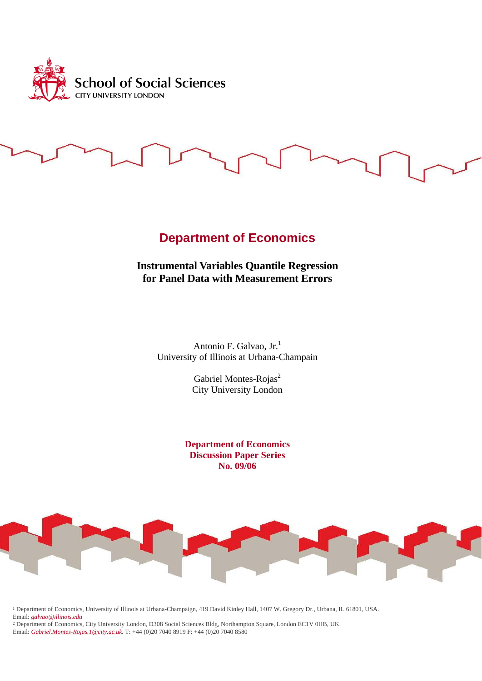

# **Department of Economics**

**Instrumental Variables Quantile Regression for Panel Data with Measurement Errors** 

> Antonio F. Galvao, Jr.<sup>1</sup> University of Illinois at Urbana-Champain

> > Gabriel Montes-Rojas<sup>2</sup> City University London

**Department of Economics Discussion Paper Series No. 09/06**



<sup>1</sup> Department of Economics, University of Illinois at Urbana-Champaign, 419 David Kinley Hall, 1407 W. Gregory Dr., Urbana, IL 61801, USA. Email: *galvao@illinois.edu*

<sup>2</sup> Department of Economics, City University London, D308 Social Sciences Bldg, Northampton Square, London EC1V 0HB, UK. Email: *Gabriel.Montes-Rojas.1@city.ac.uk*. T: +44 (0)20 7040 8919 F: +44 (0)20 7040 8580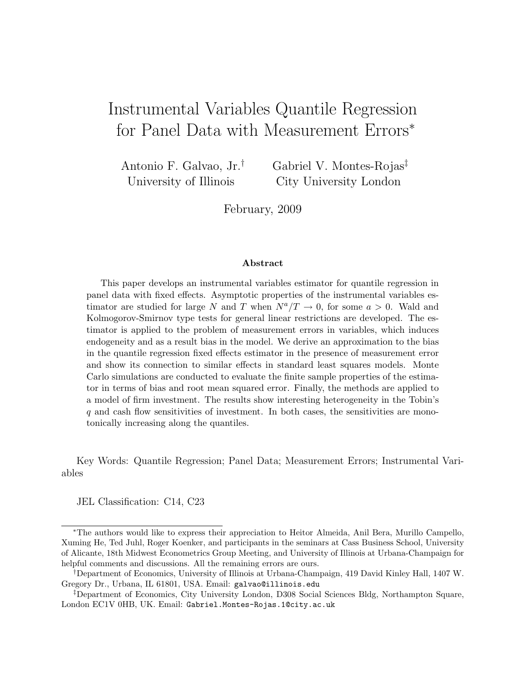# Instrumental Variables Quantile Regression for Panel Data with Measurement Errors<sup>∗</sup>

Antonio F. Galvao, Jr.† University of Illinois Gabriel V. Montes-Rojas‡ City University London

February, 2009

#### Abstract

This paper develops an instrumental variables estimator for quantile regression in panel data with fixed effects. Asymptotic properties of the instrumental variables estimator are studied for large N and T when  $N^a/T \to 0$ , for some  $a > 0$ . Wald and Kolmogorov-Smirnov type tests for general linear restrictions are developed. The estimator is applied to the problem of measurement errors in variables, which induces endogeneity and as a result bias in the model. We derive an approximation to the bias in the quantile regression fixed effects estimator in the presence of measurement error and show its connection to similar effects in standard least squares models. Monte Carlo simulations are conducted to evaluate the finite sample properties of the estimator in terms of bias and root mean squared error. Finally, the methods are applied to a model of firm investment. The results show interesting heterogeneity in the Tobin's q and cash flow sensitivities of investment. In both cases, the sensitivities are monotonically increasing along the quantiles.

Key Words: Quantile Regression; Panel Data; Measurement Errors; Instrumental Variables

JEL Classification: C14, C23

<sup>∗</sup>The authors would like to express their appreciation to Heitor Almeida, Anil Bera, Murillo Campello, Xuming He, Ted Juhl, Roger Koenker, and participants in the seminars at Cass Business School, University of Alicante, 18th Midwest Econometrics Group Meeting, and University of Illinois at Urbana-Champaign for helpful comments and discussions. All the remaining errors are ours.

<sup>†</sup>Department of Economics, University of Illinois at Urbana-Champaign, 419 David Kinley Hall, 1407 W. Gregory Dr., Urbana, IL 61801, USA. Email: galvao@illinois.edu

<sup>‡</sup>Department of Economics, City University London, D308 Social Sciences Bldg, Northampton Square, London EC1V 0HB, UK. Email: Gabriel.Montes-Rojas.1@city.ac.uk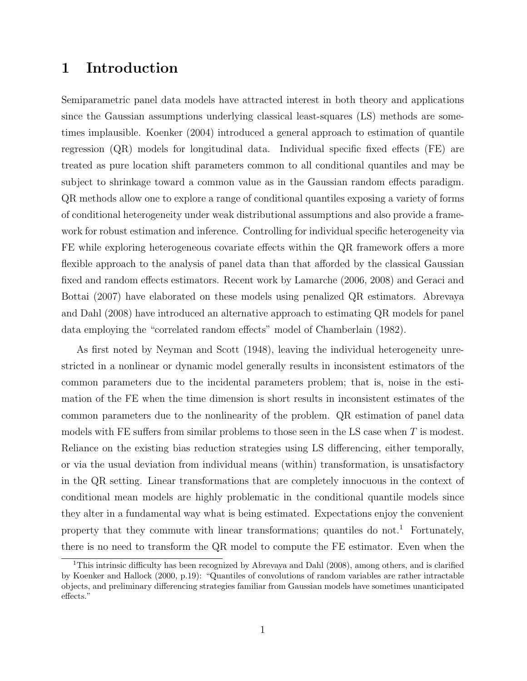## 1 Introduction

Semiparametric panel data models have attracted interest in both theory and applications since the Gaussian assumptions underlying classical least-squares (LS) methods are sometimes implausible. Koenker (2004) introduced a general approach to estimation of quantile regression (QR) models for longitudinal data. Individual specific fixed effects (FE) are treated as pure location shift parameters common to all conditional quantiles and may be subject to shrinkage toward a common value as in the Gaussian random effects paradigm. QR methods allow one to explore a range of conditional quantiles exposing a variety of forms of conditional heterogeneity under weak distributional assumptions and also provide a framework for robust estimation and inference. Controlling for individual specific heterogeneity via FE while exploring heterogeneous covariate effects within the QR framework offers a more flexible approach to the analysis of panel data than that afforded by the classical Gaussian fixed and random effects estimators. Recent work by Lamarche (2006, 2008) and Geraci and Bottai (2007) have elaborated on these models using penalized QR estimators. Abrevaya and Dahl (2008) have introduced an alternative approach to estimating QR models for panel data employing the "correlated random effects" model of Chamberlain (1982).

As first noted by Neyman and Scott (1948), leaving the individual heterogeneity unrestricted in a nonlinear or dynamic model generally results in inconsistent estimators of the common parameters due to the incidental parameters problem; that is, noise in the estimation of the FE when the time dimension is short results in inconsistent estimates of the common parameters due to the nonlinearity of the problem. QR estimation of panel data models with FE suffers from similar problems to those seen in the LS case when  $T$  is modest. Reliance on the existing bias reduction strategies using LS differencing, either temporally, or via the usual deviation from individual means (within) transformation, is unsatisfactory in the QR setting. Linear transformations that are completely innocuous in the context of conditional mean models are highly problematic in the conditional quantile models since they alter in a fundamental way what is being estimated. Expectations enjoy the convenient property that they commute with linear transformations; quantiles do not.<sup>1</sup> Fortunately, there is no need to transform the QR model to compute the FE estimator. Even when the

<sup>&</sup>lt;sup>1</sup>This intrinsic difficulty has been recognized by Abrevaya and Dahl (2008), among others, and is clarified by Koenker and Hallock (2000, p.19): "Quantiles of convolutions of random variables are rather intractable objects, and preliminary differencing strategies familiar from Gaussian models have sometimes unanticipated effects."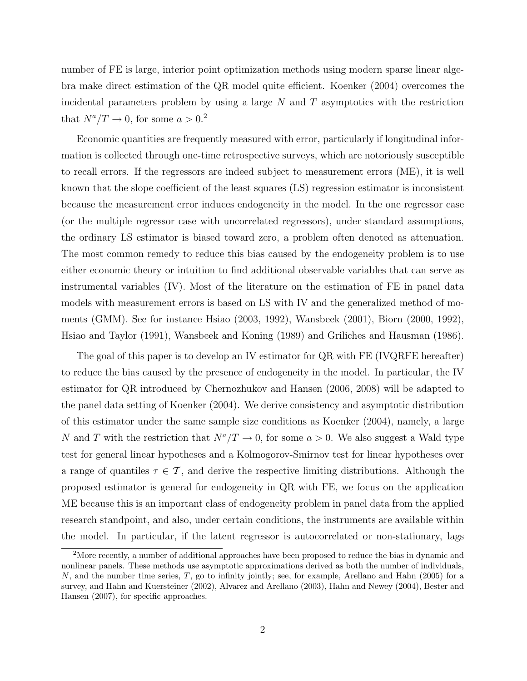number of FE is large, interior point optimization methods using modern sparse linear algebra make direct estimation of the QR model quite efficient. Koenker (2004) overcomes the incidental parameters problem by using a large  $N$  and  $T$  asymptotics with the restriction that  $N^a/T \rightarrow 0$ , for some  $a > 0.2$ 

Economic quantities are frequently measured with error, particularly if longitudinal information is collected through one-time retrospective surveys, which are notoriously susceptible to recall errors. If the regressors are indeed subject to measurement errors (ME), it is well known that the slope coefficient of the least squares (LS) regression estimator is inconsistent because the measurement error induces endogeneity in the model. In the one regressor case (or the multiple regressor case with uncorrelated regressors), under standard assumptions, the ordinary LS estimator is biased toward zero, a problem often denoted as attenuation. The most common remedy to reduce this bias caused by the endogeneity problem is to use either economic theory or intuition to find additional observable variables that can serve as instrumental variables (IV). Most of the literature on the estimation of FE in panel data models with measurement errors is based on LS with IV and the generalized method of moments (GMM). See for instance Hsiao (2003, 1992), Wansbeek (2001), Biorn (2000, 1992), Hsiao and Taylor (1991), Wansbeek and Koning (1989) and Griliches and Hausman (1986).

The goal of this paper is to develop an IV estimator for QR with FE (IVQRFE hereafter) to reduce the bias caused by the presence of endogeneity in the model. In particular, the IV estimator for QR introduced by Chernozhukov and Hansen (2006, 2008) will be adapted to the panel data setting of Koenker (2004). We derive consistency and asymptotic distribution of this estimator under the same sample size conditions as Koenker (2004), namely, a large N and T with the restriction that  $N^a/T \to 0$ , for some  $a > 0$ . We also suggest a Wald type test for general linear hypotheses and a Kolmogorov-Smirnov test for linear hypotheses over a range of quantiles  $\tau \in \mathcal{T}$ , and derive the respective limiting distributions. Although the proposed estimator is general for endogeneity in QR with FE, we focus on the application ME because this is an important class of endogeneity problem in panel data from the applied research standpoint, and also, under certain conditions, the instruments are available within the model. In particular, if the latent regressor is autocorrelated or non-stationary, lags

<sup>&</sup>lt;sup>2</sup>More recently, a number of additional approaches have been proposed to reduce the bias in dynamic and nonlinear panels. These methods use asymptotic approximations derived as both the number of individuals,  $N$ , and the number time series,  $T$ , go to infinity jointly; see, for example, Arellano and Hahn (2005) for a survey, and Hahn and Kuersteiner (2002), Alvarez and Arellano (2003), Hahn and Newey (2004), Bester and Hansen (2007), for specific approaches.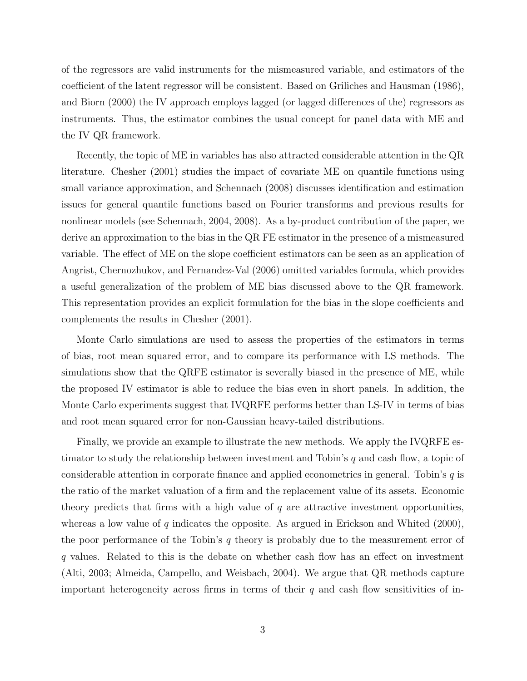of the regressors are valid instruments for the mismeasured variable, and estimators of the coefficient of the latent regressor will be consistent. Based on Griliches and Hausman (1986), and Biorn (2000) the IV approach employs lagged (or lagged differences of the) regressors as instruments. Thus, the estimator combines the usual concept for panel data with ME and the IV QR framework.

Recently, the topic of ME in variables has also attracted considerable attention in the QR literature. Chesher (2001) studies the impact of covariate ME on quantile functions using small variance approximation, and Schennach (2008) discusses identification and estimation issues for general quantile functions based on Fourier transforms and previous results for nonlinear models (see Schennach, 2004, 2008). As a by-product contribution of the paper, we derive an approximation to the bias in the QR FE estimator in the presence of a mismeasured variable. The effect of ME on the slope coefficient estimators can be seen as an application of Angrist, Chernozhukov, and Fernandez-Val (2006) omitted variables formula, which provides a useful generalization of the problem of ME bias discussed above to the QR framework. This representation provides an explicit formulation for the bias in the slope coefficients and complements the results in Chesher (2001).

Monte Carlo simulations are used to assess the properties of the estimators in terms of bias, root mean squared error, and to compare its performance with LS methods. The simulations show that the QRFE estimator is severally biased in the presence of ME, while the proposed IV estimator is able to reduce the bias even in short panels. In addition, the Monte Carlo experiments suggest that IVQRFE performs better than LS-IV in terms of bias and root mean squared error for non-Gaussian heavy-tailed distributions.

Finally, we provide an example to illustrate the new methods. We apply the IVQRFE estimator to study the relationship between investment and Tobin's q and cash flow, a topic of considerable attention in corporate finance and applied econometrics in general. Tobin's  $q$  is the ratio of the market valuation of a firm and the replacement value of its assets. Economic theory predicts that firms with a high value of  $q$  are attractive investment opportunities, whereas a low value of  $q$  indicates the opposite. As argued in Erickson and Whited  $(2000)$ , the poor performance of the Tobin's  $q$  theory is probably due to the measurement error of q values. Related to this is the debate on whether cash flow has an effect on investment (Alti, 2003; Almeida, Campello, and Weisbach, 2004). We argue that QR methods capture important heterogeneity across firms in terms of their  $q$  and cash flow sensitivities of in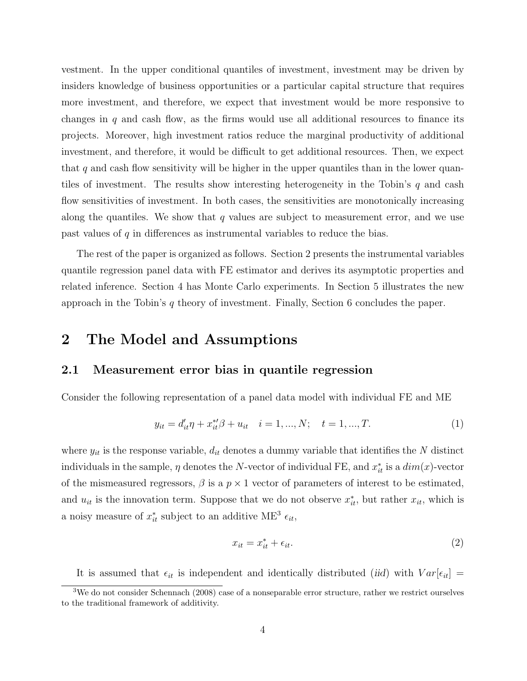vestment. In the upper conditional quantiles of investment, investment may be driven by insiders knowledge of business opportunities or a particular capital structure that requires more investment, and therefore, we expect that investment would be more responsive to changes in q and cash flow, as the firms would use all additional resources to finance its projects. Moreover, high investment ratios reduce the marginal productivity of additional investment, and therefore, it would be difficult to get additional resources. Then, we expect that  $q$  and cash flow sensitivity will be higher in the upper quantiles than in the lower quantiles of investment. The results show interesting heterogeneity in the Tobin's  $q$  and cash flow sensitivities of investment. In both cases, the sensitivities are monotonically increasing along the quantiles. We show that  $q$  values are subject to measurement error, and we use past values of q in differences as instrumental variables to reduce the bias.

The rest of the paper is organized as follows. Section 2 presents the instrumental variables quantile regression panel data with FE estimator and derives its asymptotic properties and related inference. Section 4 has Monte Carlo experiments. In Section 5 illustrates the new approach in the Tobin's  $q$  theory of investment. Finally, Section 6 concludes the paper.

### 2 The Model and Assumptions

### 2.1 Measurement error bias in quantile regression

Consider the following representation of a panel data model with individual FE and ME

$$
y_{it} = d'_{it}\eta + x_{it}^{*}\beta + u_{it} \quad i = 1, ..., N; \quad t = 1, ..., T.
$$
 (1)

where  $y_{it}$  is the response variable,  $d_{it}$  denotes a dummy variable that identifies the N distinct individuals in the sample,  $\eta$  denotes the N-vector of individual FE, and  $x_{it}^*$  is a  $dim(x)$ -vector of the mismeasured regressors,  $\beta$  is a  $p \times 1$  vector of parameters of interest to be estimated, and  $u_{it}$  is the innovation term. Suppose that we do not observe  $x_{it}^*$ , but rather  $x_{it}$ , which is a noisy measure of  $x_{it}^*$  subject to an additive ME<sup>3</sup>  $\epsilon_{it}$ ,

$$
x_{it} = x_{it}^* + \epsilon_{it}.\tag{2}
$$

It is assumed that  $\epsilon_{it}$  is independent and identically distributed (iid) with  $Var[\epsilon_{it}]$  =

<sup>3</sup>We do not consider Schennach (2008) case of a nonseparable error structure, rather we restrict ourselves to the traditional framework of additivity.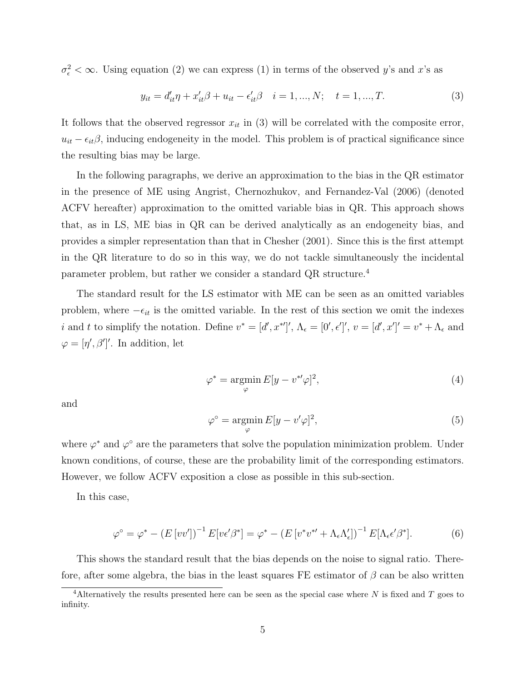$\sigma_{\epsilon}^2 < \infty$ . Using equation (2) we can express (1) in terms of the observed y's and x's as

$$
y_{it} = d'_{it}\eta + x'_{it}\beta + u_{it} - \epsilon'_{it}\beta \quad i = 1, ..., N; \quad t = 1, ..., T.
$$
 (3)

It follows that the observed regressor  $x_{it}$  in (3) will be correlated with the composite error,  $u_{it} - \epsilon_{it}\beta$ , inducing endogeneity in the model. This problem is of practical significance since the resulting bias may be large.

In the following paragraphs, we derive an approximation to the bias in the QR estimator in the presence of ME using Angrist, Chernozhukov, and Fernandez-Val (2006) (denoted ACFV hereafter) approximation to the omitted variable bias in QR. This approach shows that, as in LS, ME bias in QR can be derived analytically as an endogeneity bias, and provides a simpler representation than that in Chesher (2001). Since this is the first attempt in the QR literature to do so in this way, we do not tackle simultaneously the incidental parameter problem, but rather we consider a standard QR structure.<sup>4</sup>

The standard result for the LS estimator with ME can be seen as an omitted variables problem, where  $-\epsilon_{it}$  is the omitted variable. In the rest of this section we omit the indexes *i* and *t* to simplify the notation. Define  $v^* = [d', x^{*}]', \Lambda_{\epsilon} = [0', \epsilon'], v = [d', x']' = v^* + \Lambda_{\epsilon}$  and  $\varphi = [\eta', \beta']'.$  In addition, let

$$
\varphi^* = \underset{\varphi}{\text{argmin}} E[y - v^{*'} \varphi]^2,\tag{4}
$$

and

$$
\varphi^{\circ} = \underset{\varphi}{\operatorname{argmin}} E[y - v'\varphi]^2,\tag{5}
$$

where  $\varphi^*$  and  $\varphi^{\circ}$  are the parameters that solve the population minimization problem. Under known conditions, of course, these are the probability limit of the corresponding estimators. However, we follow ACFV exposition a close as possible in this sub-section.

In this case,

$$
\varphi^{\circ} = \varphi^* - \left( E \left[ vv' \right] \right)^{-1} E \left[ v \epsilon' \beta^* \right] = \varphi^* - \left( E \left[ v^* v^{*'} + \Lambda_{\epsilon} \Lambda'_{\epsilon} \right] \right)^{-1} E \left[ \Lambda_{\epsilon} \epsilon' \beta^* \right]. \tag{6}
$$

This shows the standard result that the bias depends on the noise to signal ratio. Therefore, after some algebra, the bias in the least squares FE estimator of  $\beta$  can be also written

<sup>&</sup>lt;sup>4</sup>Alternatively the results presented here can be seen as the special case where N is fixed and T goes to infinity.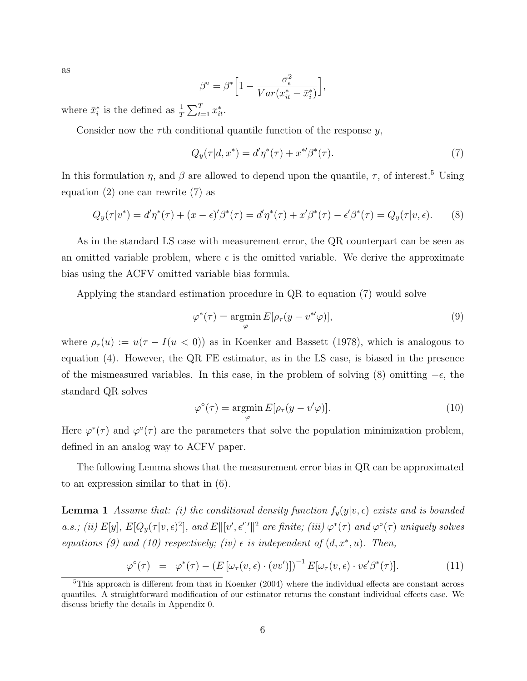as

$$
\beta^{\circ} = \beta^* \Big[ 1 - \frac{\sigma_{\epsilon}^2}{Var(x_{it}^* - \bar{x}_i^*)} \Big],
$$

where  $\bar{x}_i^*$  is the defined as  $\frac{1}{T} \sum_{t=1}^T x_{it}^*$ .

Consider now the  $\tau$ th conditional quantile function of the response y,

$$
Q_y(\tau|d, x^*) = d'\eta^*(\tau) + x^{*\prime}\beta^*(\tau). \tag{7}
$$

In this formulation  $\eta$ , and  $\beta$  are allowed to depend upon the quantile,  $\tau$ , of interest.<sup>5</sup> Using equation (2) one can rewrite (7) as

$$
Q_y(\tau|v^*) = d'\eta^*(\tau) + (x - \epsilon)'\beta^*(\tau) = d'\eta^*(\tau) + x'\beta^*(\tau) - \epsilon'\beta^*(\tau) = Q_y(\tau|v, \epsilon).
$$
 (8)

As in the standard LS case with measurement error, the QR counterpart can be seen as an omitted variable problem, where  $\epsilon$  is the omitted variable. We derive the approximate bias using the ACFV omitted variable bias formula.

Applying the standard estimation procedure in QR to equation (7) would solve

$$
\varphi^*(\tau) = \underset{\varphi}{\operatorname{argmin}} E[\rho_\tau(y - v^{*t}\varphi)],\tag{9}
$$

where  $\rho_{\tau}(u) := u(\tau - I(u < 0))$  as in Koenker and Bassett (1978), which is analogous to equation (4). However, the QR FE estimator, as in the LS case, is biased in the presence of the mismeasured variables. In this case, in the problem of solving (8) omitting  $-\epsilon$ , the standard QR solves

$$
\varphi^{\circ}(\tau) = \underset{\varphi}{\operatorname{argmin}} E[\rho_{\tau}(y - v'\varphi)]. \tag{10}
$$

Here  $\varphi^*(\tau)$  and  $\varphi^{\circ}(\tau)$  are the parameters that solve the population minimization problem, defined in an analog way to ACFV paper.

The following Lemma shows that the measurement error bias in QR can be approximated to an expression similar to that in (6).

**Lemma 1** Assume that: (i) the conditional density function  $f_y(y|v, \epsilon)$  exists and is bounded a.s.; (ii)  $E[y], E[Q_y(\tau | v, \epsilon)^2],$  and  $E[[v', \epsilon']']^2$  are finite; (iii)  $\varphi^*(\tau)$  and  $\varphi^{\circ}(\tau)$  uniquely solves equations (9) and (10) respectively; (iv)  $\epsilon$  is independent of  $(d, x^*, u)$ . Then,

$$
\varphi^{\circ}(\tau) = \varphi^*(\tau) - \left( E\left[\omega_{\tau}(v,\epsilon) \cdot (vv')\right]\right)^{-1} E[\omega_{\tau}(v,\epsilon) \cdot v\epsilon'\beta^*(\tau)]. \tag{11}
$$

<sup>5</sup>This approach is different from that in Koenker (2004) where the individual effects are constant across quantiles. A straightforward modification of our estimator returns the constant individual effects case. We discuss briefly the details in Appendix 0.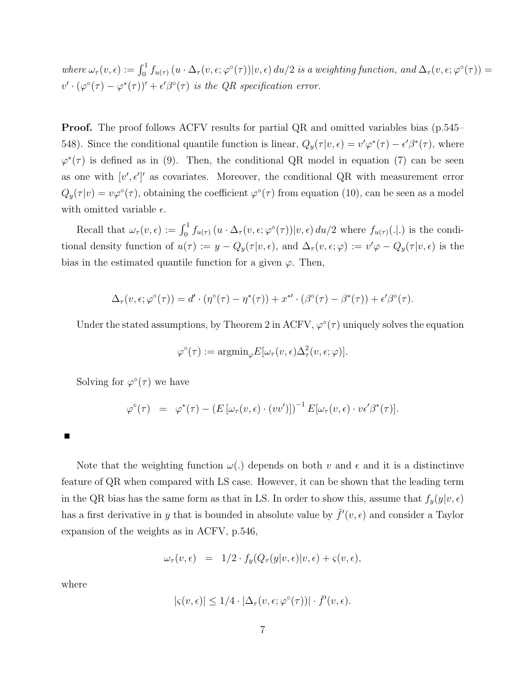where  $\omega_{\tau}(v,\epsilon) := \int_0^1 f_{u(\tau)}(u \cdot \Delta_{\tau}(v,\epsilon;\varphi^{\circ}(\tau))|v,\epsilon) du/2$  is a weighting function, and  $\Delta_{\tau}(v,\epsilon;\varphi^{\circ}(\tau)) =$  $v' \cdot (\varphi^{\circ}(\tau) - \varphi^*(\tau))' + \epsilon' \beta^{\circ}(\tau)$  is the QR specification error.

**Proof.** The proof follows ACFV results for partial QR and omitted variables bias (p.545– 548). Since the conditional quantile function is linear,  $Q_y(\tau | v, \epsilon) = v' \varphi^*(\tau) - \epsilon' \beta^*(\tau)$ , where  $\varphi^*(\tau)$  is defined as in (9). Then, the conditional QR model in equation (7) can be seen as one with  $[v', \epsilon']'$  as covariates. Moreover, the conditional QR with measurement error  $Q_y(\tau | v) = v\varphi^{\circ}(\tau)$ , obtaining the coefficient  $\varphi^{\circ}(\tau)$  from equation (10), can be seen as a model with omitted variable  $\epsilon$ .

Recall that  $\omega_{\tau}(v,\epsilon) := \int_0^1 f_{u(\tau)}(u \cdot \Delta_{\tau}(v,\epsilon;\varphi^{\circ}(\tau))|v,\epsilon) du/2$  where  $f_{u(\tau)}(.|.)$  is the conditional density function of  $u(\tau) := y - Q_y(\tau | v, \epsilon)$ , and  $\Delta_{\tau}(v, \epsilon; \varphi) := v' \varphi - Q_y(\tau | v, \epsilon)$  is the bias in the estimated quantile function for a given  $\varphi$ . Then,

$$
\Delta_{\tau}(v,\epsilon;\varphi^{\circ}(\tau)) = d' \cdot (\eta^{\circ}(\tau) - \eta^*(\tau)) + x^{*\prime} \cdot (\beta^{\circ}(\tau) - \beta^*(\tau)) + \epsilon' \beta^{\circ}(\tau).
$$

Under the stated assumptions, by Theorem 2 in ACFV,  $\varphi^{\circ}(\tau)$  uniquely solves the equation

$$
\varphi^{\circ}(\tau) := \operatorname{argmin}_{\varphi} E[\omega_{\tau}(v, \epsilon) \Delta_{\tau}^{2}(v, \epsilon; \varphi)].
$$

Solving for  $\varphi^{\circ}(\tau)$  we have

$$
\varphi^{\circ}(\tau) = \varphi^*(\tau) - (E[\omega_{\tau}(v,\epsilon) \cdot (vv')] )^{-1} E[\omega_{\tau}(v,\epsilon) \cdot v \epsilon' \beta^*(\tau)].
$$

٠

Note that the weighting function  $\omega(.)$  depends on both v and  $\epsilon$  and it is a distinctinve feature of QR when compared with LS case. However, it can be shown that the leading term in the QR bias has the same form as that in LS. In order to show this, assume that  $f_y(y|v, \epsilon)$ has a first derivative in y that is bounded in absolute value by  $\bar{f}'(v, \epsilon)$  and consider a Taylor expansion of the weights as in ACFV, p.546,

$$
\omega_{\tau}(v,\epsilon) = 1/2 \cdot f_y(Q_{\tau}(y|v,\epsilon)|v,\epsilon) + \varsigma(v,\epsilon),
$$

where

$$
|\varsigma(v,\epsilon)| \leq 1/4 \cdot |\Delta_\tau(v,\epsilon;\varphi^\circ(\tau))| \cdot \bar{f}'(v,\epsilon).
$$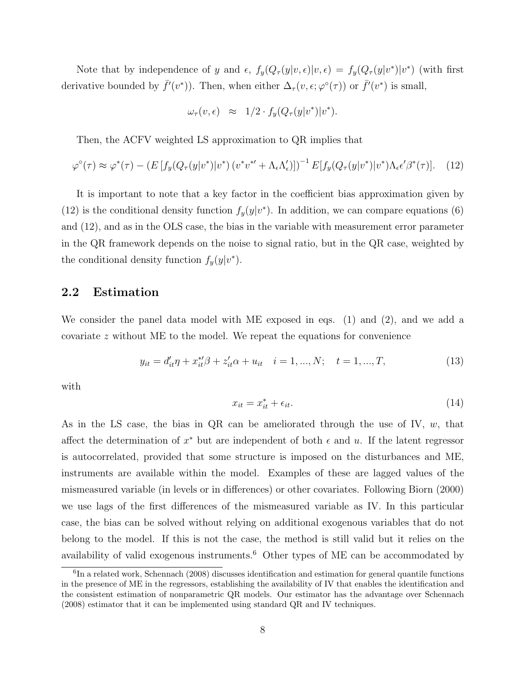Note that by independence of y and  $\epsilon$ ,  $f_y(Q_\tau(y|v,\epsilon)|v,\epsilon) = f_y(Q_\tau(y|v^*)|v^*)$  (with first derivative bounded by  $\bar{f}'(v^*)$ ). Then, when either  $\Delta_{\tau}(v,\epsilon;\varphi^{\circ}(\tau))$  or  $\bar{f}'(v^*)$  is small,

$$
\omega_{\tau}(v,\epsilon) \;\; \approx \;\; 1/2 \cdot f_{y}(Q_{\tau}(y|v^{*})|v^{*}).
$$

Then, the ACFV weighted LS approximation to QR implies that

$$
\varphi^{\circ}(\tau) \approx \varphi^*(\tau) - \left( E \left[ f_y(Q_{\tau}(y|v^*)|v^*) \left( v^* v^{*\prime} + \Lambda_{\epsilon} \Lambda_{\epsilon}' \right) \right] \right)^{-1} E \left[ f_y(Q_{\tau}(y|v^*)|v^*) \Lambda_{\epsilon} \epsilon' \beta^*(\tau) \right]. \tag{12}
$$

It is important to note that a key factor in the coefficient bias approximation given by (12) is the conditional density function  $f_y(y|v^*)$ . In addition, we can compare equations (6) and (12), and as in the OLS case, the bias in the variable with measurement error parameter in the QR framework depends on the noise to signal ratio, but in the QR case, weighted by the conditional density function  $f_y(y|v^*)$ .

### 2.2 Estimation

We consider the panel data model with ME exposed in eqs. (1) and (2), and we add a covariate z without ME to the model. We repeat the equations for convenience

$$
y_{it} = d'_{it}\eta + x^{*t}_{it}\beta + z'_{it}\alpha + u_{it} \quad i = 1, ..., N; \quad t = 1, ..., T,
$$
\n(13)

with

$$
x_{it} = x_{it}^* + \epsilon_{it}.\tag{14}
$$

As in the LS case, the bias in QR can be ameliorated through the use of IV,  $w$ , that affect the determination of  $x^*$  but are independent of both  $\epsilon$  and u. If the latent regressor is autocorrelated, provided that some structure is imposed on the disturbances and ME, instruments are available within the model. Examples of these are lagged values of the mismeasured variable (in levels or in differences) or other covariates. Following Biorn (2000) we use lags of the first differences of the mismeasured variable as IV. In this particular case, the bias can be solved without relying on additional exogenous variables that do not belong to the model. If this is not the case, the method is still valid but it relies on the availability of valid exogenous instruments.<sup>6</sup> Other types of ME can be accommodated by

<sup>6</sup> In a related work, Schennach (2008) discusses identification and estimation for general quantile functions in the presence of ME in the regressors, establishing the availability of IV that enables the identification and the consistent estimation of nonparametric QR models. Our estimator has the advantage over Schennach (2008) estimator that it can be implemented using standard QR and IV techniques.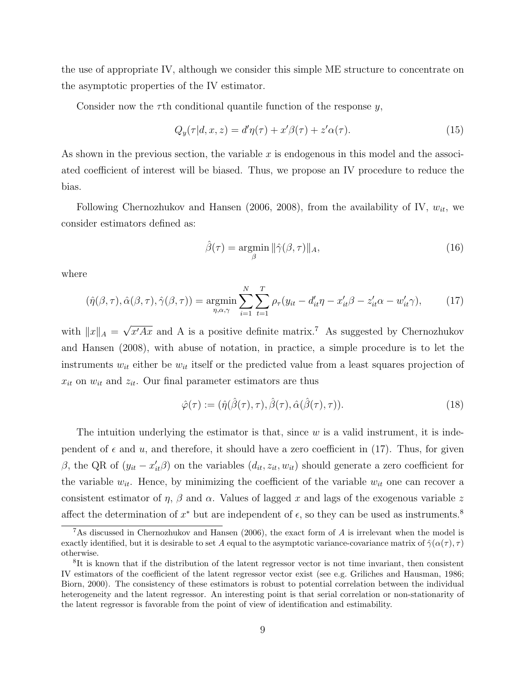the use of appropriate IV, although we consider this simple ME structure to concentrate on the asymptotic properties of the IV estimator.

Consider now the  $\tau$ th conditional quantile function of the response y,

$$
Q_y(\tau|d, x, z) = d'\eta(\tau) + x'\beta(\tau) + z'\alpha(\tau). \tag{15}
$$

As shown in the previous section, the variable x is endogenous in this model and the associated coefficient of interest will be biased. Thus, we propose an IV procedure to reduce the bias.

Following Chernozhukov and Hansen (2006, 2008), from the availability of IV,  $w_{it}$ , we consider estimators defined as:

$$
\hat{\beta}(\tau) = \underset{\beta}{\text{argmin}} \|\hat{\gamma}(\beta, \tau)\|_{A},\tag{16}
$$

where

$$
(\hat{\eta}(\beta,\tau),\hat{\alpha}(\beta,\tau),\hat{\gamma}(\beta,\tau)) = \underset{\eta,\alpha,\gamma}{\text{argmin}} \sum_{i=1}^{N} \sum_{t=1}^{T} \rho_{\tau}(y_{it} - d'_{it}\eta - x'_{it}\beta - z'_{it}\alpha - w'_{it}\gamma), \tag{17}
$$

with  $||x||_A =$ √  $\overline{x'Ax}$  and A is a positive definite matrix.<sup>7</sup> As suggested by Chernozhukov and Hansen (2008), with abuse of notation, in practice, a simple procedure is to let the instruments  $w_{it}$  either be  $w_{it}$  itself or the predicted value from a least squares projection of  $x_{it}$  on  $w_{it}$  and  $z_{it}$ . Our final parameter estimators are thus

$$
\hat{\varphi}(\tau) := (\hat{\eta}(\hat{\beta}(\tau), \tau), \hat{\beta}(\tau), \hat{\alpha}(\hat{\beta}(\tau), \tau)). \tag{18}
$$

The intuition underlying the estimator is that, since  $w$  is a valid instrument, it is independent of  $\epsilon$  and  $u$ , and therefore, it should have a zero coefficient in (17). Thus, for given β, the QR of  $(y_{it} - x'_{it} \beta)$  on the variables  $(d_{it}, z_{it}, w_{it})$  should generate a zero coefficient for the variable  $w_{it}$ . Hence, by minimizing the coefficient of the variable  $w_{it}$  one can recover a consistent estimator of  $\eta$ ,  $\beta$  and  $\alpha$ . Values of lagged x and lags of the exogenous variable z affect the determination of  $x^*$  but are independent of  $\epsilon$ , so they can be used as instruments.<sup>8</sup>

<sup>&</sup>lt;sup>7</sup>As discussed in Chernozhukov and Hansen (2006), the exact form of A is irrelevant when the model is exactly identified, but it is desirable to set A equal to the asymptotic variance-covariance matrix of  $\hat{\gamma}(\alpha(\tau), \tau)$ otherwise.

<sup>8</sup> It is known that if the distribution of the latent regressor vector is not time invariant, then consistent IV estimators of the coefficient of the latent regressor vector exist (see e.g. Griliches and Hausman, 1986; Biorn, 2000). The consistency of these estimators is robust to potential correlation between the individual heterogeneity and the latent regressor. An interesting point is that serial correlation or non-stationarity of the latent regressor is favorable from the point of view of identification and estimability.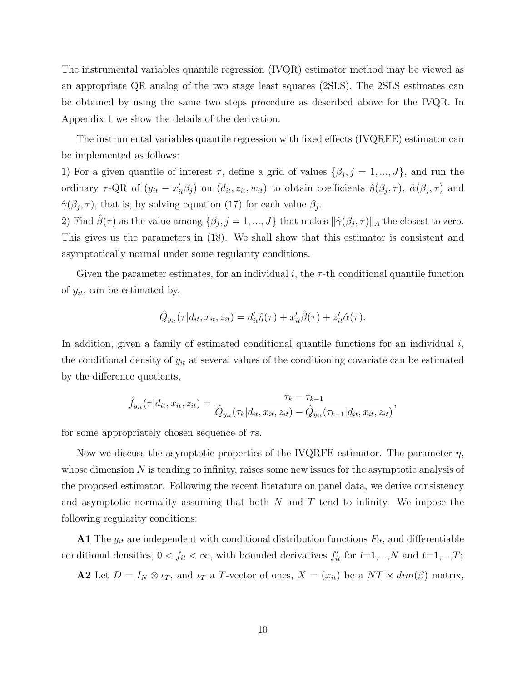The instrumental variables quantile regression (IVQR) estimator method may be viewed as an appropriate QR analog of the two stage least squares (2SLS). The 2SLS estimates can be obtained by using the same two steps procedure as described above for the IVQR. In Appendix 1 we show the details of the derivation.

The instrumental variables quantile regression with fixed effects (IVQRFE) estimator can be implemented as follows:

1) For a given quantile of interest  $\tau$ , define a grid of values  $\{\beta_j, j = 1, ..., J\}$ , and run the ordinary  $\tau$ -QR of  $(y_{it} - x'_{it}\beta_j)$  on  $(d_{it}, z_{it}, w_{it})$  to obtain coefficients  $\hat{\eta}(\beta_j, \tau)$ ,  $\hat{\alpha}(\beta_j, \tau)$  and  $\hat{\gamma}(\beta_j, \tau)$ , that is, by solving equation (17) for each value  $\beta_j$ .

2) Find  $\hat{\beta}(\tau)$  as the value among  $\{\beta_j, j = 1, ..., J\}$  that makes  $\|\hat{\gamma}(\beta_j, \tau)\|_A$  the closest to zero. This gives us the parameters in (18). We shall show that this estimator is consistent and asymptotically normal under some regularity conditions.

Given the parameter estimates, for an individual i, the  $\tau$ -th conditional quantile function of  $y_{it}$ , can be estimated by,

$$
\hat{Q}_{y_{it}}(\tau | d_{it}, x_{it}, z_{it}) = d'_{it}\hat{\eta}(\tau) + x'_{it}\hat{\beta}(\tau) + z'_{it}\hat{\alpha}(\tau).
$$

In addition, given a family of estimated conditional quantile functions for an individual  $i$ , the conditional density of  $y_{it}$  at several values of the conditioning covariate can be estimated by the difference quotients,

$$
\hat{f}_{y_{it}}(\tau|d_{it}, x_{it}, z_{it}) = \frac{\tau_k - \tau_{k-1}}{\hat{Q}_{y_{it}}(\tau_k|d_{it}, x_{it}, z_{it}) - \hat{Q}_{y_{it}}(\tau_{k-1}|d_{it}, x_{it}, z_{it})},
$$

for some appropriately chosen sequence of  $\tau s$ .

Now we discuss the asymptotic properties of the IVQRFE estimator. The parameter  $\eta$ , whose dimension  $N$  is tending to infinity, raises some new issues for the asymptotic analysis of the proposed estimator. Following the recent literature on panel data, we derive consistency and asymptotic normality assuming that both  $N$  and  $T$  tend to infinity. We impose the following regularity conditions:

A1 The  $y_{it}$  are independent with conditional distribution functions  $F_{it}$ , and differentiable conditional densities,  $0 < f_{it} < \infty$ , with bounded derivatives  $f'_{it}$  for  $i=1,...,N$  and  $t=1,...,T$ ;

**A2** Let  $D = I_N \otimes \iota_T$ , and  $\iota_T$  a T-vector of ones,  $X = (x_{it})$  be a  $NT \times dim(\beta)$  matrix,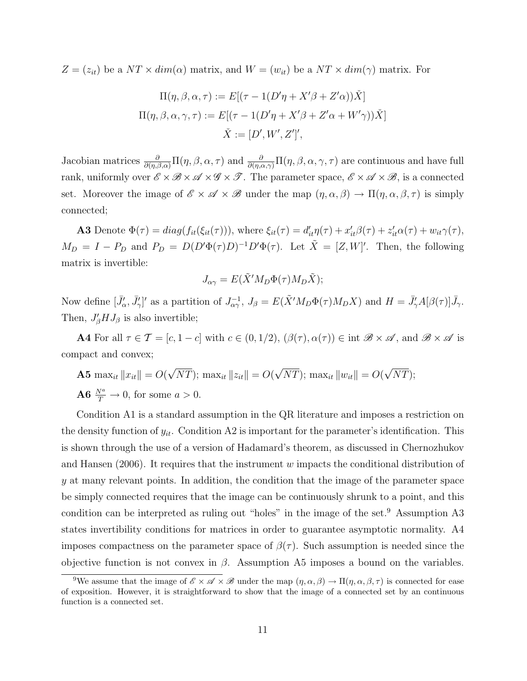$Z = (z_{it})$  be a  $NT \times dim(\alpha)$  matrix, and  $W = (w_{it})$  be a  $NT \times dim(\gamma)$  matrix. For

$$
\Pi(\eta, \beta, \alpha, \tau) := E[(\tau - 1(D'\eta + X'\beta + Z'\alpha))\check{X}]
$$

$$
\Pi(\eta, \beta, \alpha, \gamma, \tau) := E[(\tau - 1(D'\eta + X'\beta + Z'\alpha + W'\gamma))\check{X}]
$$

$$
\check{X} := [D', W', Z']',
$$

Jacobian matrices  $\frac{\partial}{\partial(\eta,\beta,\alpha)}\Pi(\eta,\beta,\alpha,\tau)$  and  $\frac{\partial}{\partial(\eta,\alpha,\gamma)}\Pi(\eta,\beta,\alpha,\gamma,\tau)$  are continuous and have full rank, uniformly over  $\mathscr{E} \times \mathscr{B} \times \mathscr{A} \times \mathscr{G} \times \mathscr{T}$ . The parameter space,  $\mathscr{E} \times \mathscr{A} \times \mathscr{B}$ , is a connected set. Moreover the image of  $\mathscr{E} \times \mathscr{A} \times \mathscr{B}$  under the map  $(\eta, \alpha, \beta) \to \Pi(\eta, \alpha, \beta, \tau)$  is simply connected;

**A3** Denote  $\Phi(\tau) = diag(f_{it}(\xi_{it}(\tau)))$ , where  $\xi_{it}(\tau) = d'_{it}\eta(\tau) + x'_{it}\beta(\tau) + z'_{it}\alpha(\tau) + w_{it}\gamma(\tau)$ ,  $M_D = I - P_D$  and  $P_D = D(D'\Phi(\tau)D)^{-1}D'\Phi(\tau)$ . Let  $\tilde{X} = [Z, W]'$ . Then, the following matrix is invertible:

$$
J_{\alpha\gamma} = E(\tilde{X}'M_D\Phi(\tau)M_D\tilde{X});
$$

Now define  $[\bar{J}'_{\alpha}, \bar{J}'_{\gamma}]'$  as a partition of  $J_{\alpha\gamma}^{-1}$ ,  $J_{\beta} = E(\tilde{X}'M_D\Phi(\tau)M_DX)$  and  $H = \bar{J}'_{\gamma}A[\beta(\tau)]\bar{J}_{\gamma}$ . Then,  $J'_{\beta}HJ_{\beta}$  is also invertible;

**A4** For all  $\tau \in \mathcal{T} = [c, 1-c]$  with  $c \in (0, 1/2)$ ,  $(\beta(\tau), \alpha(\tau)) \in \text{int } \mathcal{B} \times \mathcal{A}$ , and  $\mathcal{B} \times \mathcal{A}$  is compact and convex;

**A5** 
$$
\max_{it} ||x_{it}|| = O(\sqrt{NT}); \max_{it} ||z_{it}|| = O(\sqrt{NT}); \max_{it} ||w_{it}|| = O(\sqrt{NT});
$$
  
\n**A6**  $\frac{N^a}{T} \to 0$ , for some  $a > 0$ .

Condition A1 is a standard assumption in the QR literature and imposes a restriction on the density function of  $y_{it}$ . Condition A2 is important for the parameter's identification. This is shown through the use of a version of Hadamard's theorem, as discussed in Chernozhukov and Hansen  $(2006)$ . It requires that the instrument w impacts the conditional distribution of y at many relevant points. In addition, the condition that the image of the parameter space be simply connected requires that the image can be continuously shrunk to a point, and this condition can be interpreted as ruling out "holes" in the image of the set.<sup>9</sup> Assumption A3 states invertibility conditions for matrices in order to guarantee asymptotic normality. A4 imposes compactness on the parameter space of  $\beta(\tau)$ . Such assumption is needed since the objective function is not convex in  $\beta$ . Assumption A5 imposes a bound on the variables.

<sup>&</sup>lt;sup>9</sup>We assume that the image of  $\mathscr{E} \times \mathscr{A} \times \mathscr{B}$  under the map  $(\eta, \alpha, \beta) \to \Pi(\eta, \alpha, \beta, \tau)$  is connected for ease of exposition. However, it is straightforward to show that the image of a connected set by an continuous function is a connected set.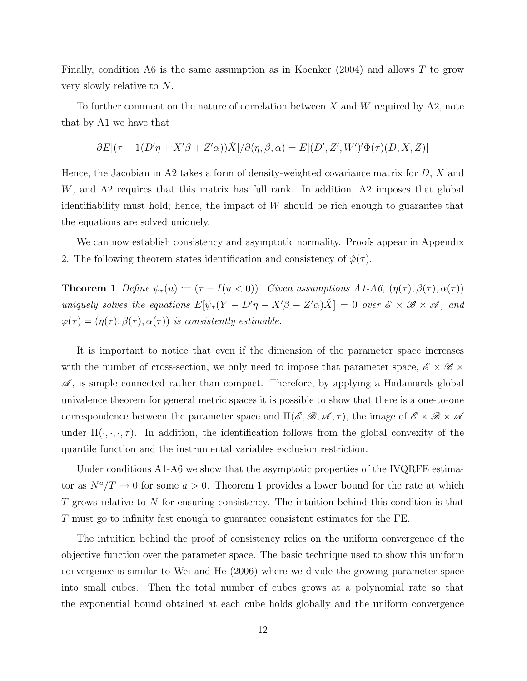Finally, condition A6 is the same assumption as in Koenker  $(2004)$  and allows T to grow very slowly relative to N.

To further comment on the nature of correlation between  $X$  and  $W$  required by A2, note that by A1 we have that

$$
\partial E[(\tau - 1(D'\eta + X'\beta + Z'\alpha))\check{X}]/\partial(\eta, \beta, \alpha) = E[(D', Z', W')'\Phi(\tau)(D, X, Z)]
$$

Hence, the Jacobian in A2 takes a form of density-weighted covariance matrix for  $D, X$  and W, and A2 requires that this matrix has full rank. In addition, A2 imposes that global identifiability must hold; hence, the impact of W should be rich enough to guarantee that the equations are solved uniquely.

We can now establish consistency and asymptotic normality. Proofs appear in Appendix 2. The following theorem states identification and consistency of  $\hat{\varphi}(\tau)$ .

**Theorem 1** Define  $\psi_{\tau}(u) := (\tau - I(u < 0))$ . Given assumptions A1-A6,  $(\eta(\tau), \beta(\tau), \alpha(\tau))$ uniquely solves the equations  $E[\psi_\tau(Y - D'\eta - X'\beta - Z'\alpha)\check{X}] = 0$  over  $\mathscr{E} \times \mathscr{B} \times \mathscr{A}$ , and  $\varphi(\tau) = (\eta(\tau), \beta(\tau), \alpha(\tau))$  is consistently estimable.

It is important to notice that even if the dimension of the parameter space increases with the number of cross-section, we only need to impose that parameter space,  $\mathscr{E} \times \mathscr{B} \times$  $\mathscr A$ , is simple connected rather than compact. Therefore, by applying a Hadamards global univalence theorem for general metric spaces it is possible to show that there is a one-to-one correspondence between the parameter space and  $\Pi(\mathscr{E}, \mathscr{B}, \mathscr{A}, \tau)$ , the image of  $\mathscr{E} \times \mathscr{B} \times \mathscr{A}$ under  $\Pi(\cdot, \cdot, \cdot, \tau)$ . In addition, the identification follows from the global convexity of the quantile function and the instrumental variables exclusion restriction.

Under conditions A1-A6 we show that the asymptotic properties of the IVQRFE estimator as  $N^a/T \to 0$  for some  $a > 0$ . Theorem 1 provides a lower bound for the rate at which T grows relative to N for ensuring consistency. The intuition behind this condition is that T must go to infinity fast enough to guarantee consistent estimates for the FE.

The intuition behind the proof of consistency relies on the uniform convergence of the objective function over the parameter space. The basic technique used to show this uniform convergence is similar to Wei and He (2006) where we divide the growing parameter space into small cubes. Then the total number of cubes grows at a polynomial rate so that the exponential bound obtained at each cube holds globally and the uniform convergence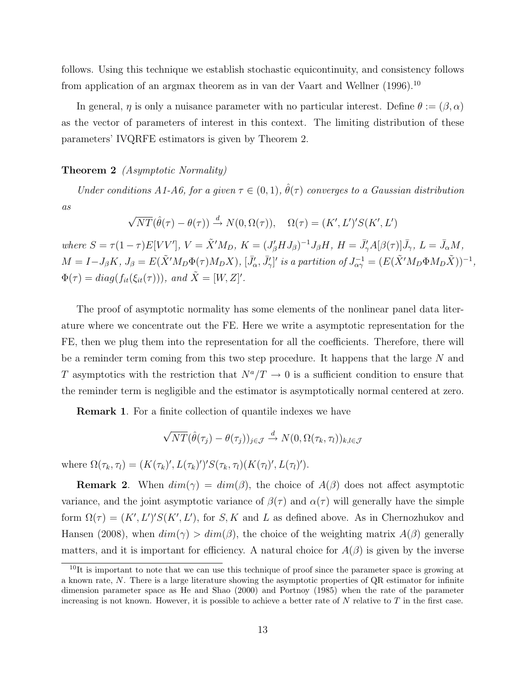follows. Using this technique we establish stochastic equicontinuity, and consistency follows from application of an argmax theorem as in van der Vaart and Wellner (1996).<sup>10</sup>

In general,  $\eta$  is only a nuisance parameter with no particular interest. Define  $\theta := (\beta, \alpha)$ as the vector of parameters of interest in this context. The limiting distribution of these parameters' IVQRFE estimators is given by Theorem 2.

#### Theorem 2 (Asymptotic Normality)

Under conditions A1-A6, for a given  $\tau \in (0,1)$ ,  $\hat{\theta}(\tau)$  converges to a Gaussian distribution as √

$$
\sqrt{NT}(\hat{\theta}(\tau) - \theta(\tau)) \stackrel{d}{\rightarrow} N(0, \Omega(\tau)), \quad \Omega(\tau) = (K', L')' S(K', L')
$$

where  $S = \tau (1-\tau) E[VV'], V = \tilde{X}'M_D, K = (J'_{\beta}HJ_{\beta})^{-1}J_{\beta}H, H = \bar{J}'_{\gamma}A[\beta(\tau)]\bar{J}_{\gamma}, L = \bar{J}_{\alpha}M,$  $M = I - J_{\beta}K$ ,  $J_{\beta} = E(\tilde{X}'M_{D}\Phi(\tau)M_{D}X)$ ,  $[\bar{J}'_{\alpha}, \bar{J}'_{\gamma}]'$  is a partition of  $J_{\alpha\gamma}^{-1} = (E(\tilde{X}'M_{D}\Phi M_{D}\tilde{X}))^{-1}$ ,  $\Phi(\tau) = diag(f_{it}(\xi_{it}(\tau)))$ , and  $\tilde{X} = [W, Z]'$ .

The proof of asymptotic normality has some elements of the nonlinear panel data literature where we concentrate out the FE. Here we write a asymptotic representation for the FE, then we plug them into the representation for all the coefficients. Therefore, there will be a reminder term coming from this two step procedure. It happens that the large N and T asymptotics with the restriction that  $N^a/T \to 0$  is a sufficient condition to ensure that the reminder term is negligible and the estimator is asymptotically normal centered at zero.

Remark 1. For a finite collection of quantile indexes we have

$$
\sqrt{NT}(\hat{\theta}(\tau_j) - \theta(\tau_j))_{j \in \mathcal{J}} \xrightarrow{d} N(0, \Omega(\tau_k, \tau_l))_{k,l \in \mathcal{J}}
$$

where  $\Omega(\tau_k, \tau_l) = (K(\tau_k)', L(\tau_k)')' S(\tau_k, \tau_l) (K(\tau_l)', L(\tau_l)').$ 

**Remark 2.** When  $dim(\gamma) = dim(\beta)$ , the choice of  $A(\beta)$  does not affect asymptotic variance, and the joint asymptotic variance of  $\beta(\tau)$  and  $\alpha(\tau)$  will generally have the simple form  $\Omega(\tau) = (K', L')' S(K', L')$ , for S, K and L as defined above. As in Chernozhukov and Hansen (2008), when  $dim(\gamma) > dim(\beta)$ , the choice of the weighting matrix  $A(\beta)$  generally matters, and it is important for efficiency. A natural choice for  $A(\beta)$  is given by the inverse

 $10$ It is important to note that we can use this technique of proof since the parameter space is growing at a known rate, N. There is a large literature showing the asymptotic properties of QR estimator for infinite dimension parameter space as He and Shao (2000) and Portnoy (1985) when the rate of the parameter increasing is not known. However, it is possible to achieve a better rate of  $N$  relative to  $T$  in the first case.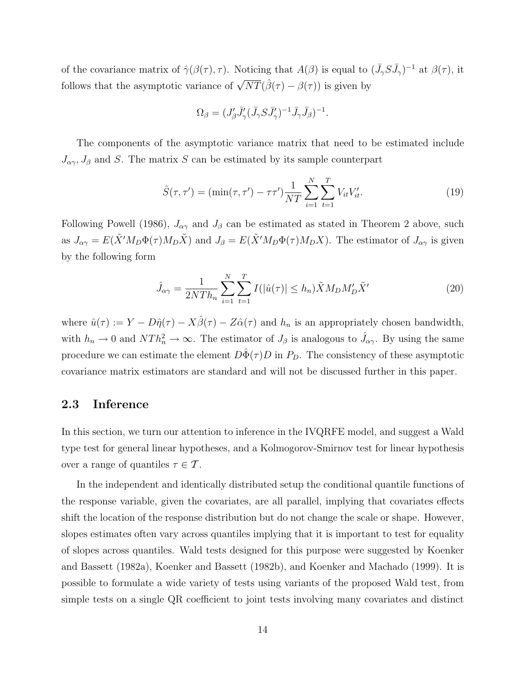of the covariance matrix of  $\hat{\gamma}(\beta(\tau), \tau)$ . Noticing that  $A(\beta)$  is equal to  $(\bar{J}_{\gamma}S\bar{J}_{\gamma})^{-1}$  at  $\beta(\tau)$ , it follows that the asymptotic variance of  $\sqrt{NT}(\hat{\beta}(\tau) - \beta(\tau))$  is given by

$$
\Omega_{\beta} = (J'_{\beta}\bar{J}'_{\gamma}(\bar{J}_{\gamma}S\bar{J}'_{\gamma})^{-1}\bar{J}_{\gamma}\bar{J}_{\beta})^{-1}.
$$

The components of the asymptotic variance matrix that need to be estimated include  $J_{\alpha\gamma}$ ,  $J_{\beta}$  and S. The matrix S can be estimated by its sample counterpart

$$
\hat{S}(\tau, \tau') = (\min(\tau, \tau') - \tau \tau') \frac{1}{NT} \sum_{i=1}^{N} \sum_{t=1}^{T} V_{it} V'_{it}.
$$
\n(19)

Following Powell (1986),  $J_{\alpha\gamma}$  and  $J_{\beta}$  can be estimated as stated in Theorem 2 above, such as  $J_{\alpha\gamma} = E(\tilde{X}^{\prime}M_D\Phi(\tau)M_D\tilde{X})$  and  $J_{\beta} = E(\tilde{X}^{\prime}M_D\Phi(\tau)M_DX)$ . The estimator of  $J_{\alpha\gamma}$  is given by the following form

$$
\hat{J}_{\alpha\gamma} = \frac{1}{2NTh_n} \sum_{i=1}^{N} \sum_{t=1}^{T} I(|\hat{u}(\tau)| \le h_n) \tilde{X} M_D M'_D \tilde{X}' \tag{20}
$$

where  $\hat{u}(\tau) := Y - D\hat{\eta}(\tau) - X\hat{\beta}(\tau) - Z\hat{\alpha}(\tau)$  and  $h_n$  is an appropriately chosen bandwidth, with  $h_n \to 0$  and  $NTh_n^2 \to \infty$ . The estimator of  $J_\beta$  is analogous to  $\hat{J}_{\alpha\gamma}$ . By using the same procedure we can estimate the element  $D\Phi(\tau)D$  in  $P_D$ . The consistency of these asymptotic covariance matrix estimators are standard and will not be discussed further in this paper.

### 2.3 Inference

In this section, we turn our attention to inference in the IVQRFE model, and suggest a Wald type test for general linear hypotheses, and a Kolmogorov-Smirnov test for linear hypothesis over a range of quantiles  $\tau \in \mathcal{T}$ .

In the independent and identically distributed setup the conditional quantile functions of the response variable, given the covariates, are all parallel, implying that covariates effects shift the location of the response distribution but do not change the scale or shape. However, slopes estimates often vary across quantiles implying that it is important to test for equality of slopes across quantiles. Wald tests designed for this purpose were suggested by Koenker and Bassett (1982a), Koenker and Bassett (1982b), and Koenker and Machado (1999). It is possible to formulate a wide variety of tests using variants of the proposed Wald test, from simple tests on a single QR coefficient to joint tests involving many covariates and distinct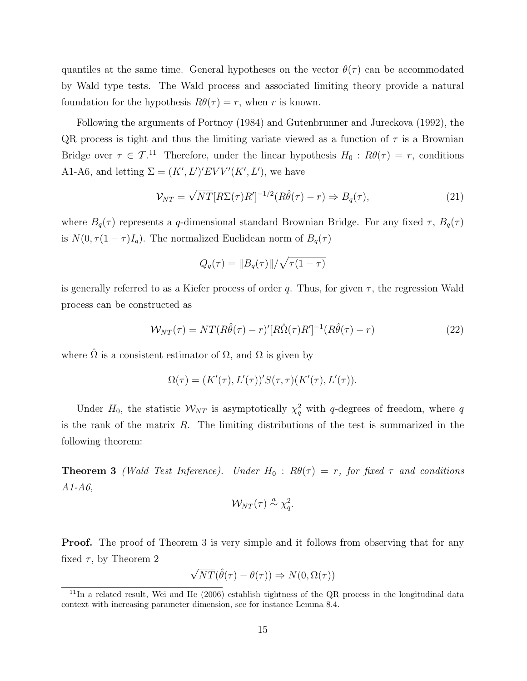quantiles at the same time. General hypotheses on the vector  $\theta(\tau)$  can be accommodated by Wald type tests. The Wald process and associated limiting theory provide a natural foundation for the hypothesis  $R\theta(\tau) = r$ , when r is known.

Following the arguments of Portnoy (1984) and Gutenbrunner and Jureckova (1992), the QR process is tight and thus the limiting variate viewed as a function of  $\tau$  is a Brownian Bridge over  $\tau \in \mathcal{T}$ .<sup>11</sup> Therefore, under the linear hypothesis  $H_0: R\theta(\tau) = r$ , conditions A1-A6, and letting  $\Sigma = (K', L')' E V V' (K', L')$ , we have

$$
\mathcal{V}_{NT} = \sqrt{NT} [R\Sigma(\tau) R']^{-1/2} (R\hat{\theta}(\tau) - r) \Rightarrow B_q(\tau), \tag{21}
$$

where  $B_q(\tau)$  represents a q-dimensional standard Brownian Bridge. For any fixed  $\tau$ ,  $B_q(\tau)$ is  $N(0, \tau(1-\tau)I_q)$ . The normalized Euclidean norm of  $B_q(\tau)$ 

$$
Q_q(\tau) = ||B_q(\tau)|| / \sqrt{\tau(1-\tau)}
$$

is generally referred to as a Kiefer process of order q. Thus, for given  $\tau$ , the regression Wald process can be constructed as

$$
\mathcal{W}_{NT}(\tau) = NT(R\hat{\theta}(\tau) - r)'[R\hat{\Omega}(\tau)R']^{-1}(R\hat{\theta}(\tau) - r)
$$
\n(22)

where  $\hat{\Omega}$  is a consistent estimator of  $\Omega$ , and  $\Omega$  is given by

$$
\Omega(\tau) = (K'(\tau), L'(\tau))' S(\tau, \tau) (K'(\tau), L'(\tau)).
$$

Under  $H_0$ , the statistic  $W_{NT}$  is asymptotically  $\chi_q^2$  with q-degrees of freedom, where q is the rank of the matrix  $R$ . The limiting distributions of the test is summarized in the following theorem:

**Theorem 3** (Wald Test Inference). Under  $H_0$ :  $R\theta(\tau) = r$ , for fixed  $\tau$  and conditions  $A1-A6$ 

$$
\mathcal{W}_{NT}(\tau) \stackrel{a}{\sim} \chi_q^2.
$$

**Proof.** The proof of Theorem 3 is very simple and it follows from observing that for any fixed  $\tau$ , by Theorem 2

$$
\sqrt{NT}(\hat{\theta}(\tau) - \theta(\tau)) \Rightarrow N(0, \Omega(\tau))
$$

 $11$ In a related result, Wei and He (2006) establish tightness of the QR process in the longitudinal data context with increasing parameter dimension, see for instance Lemma 8.4.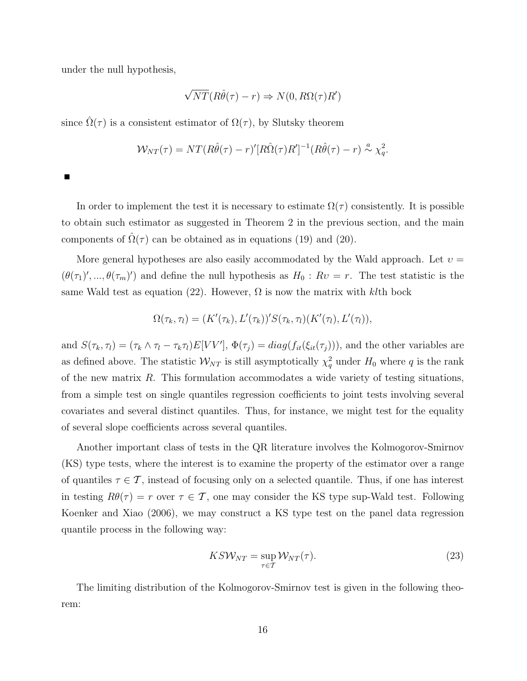under the null hypothesis,

$$
\sqrt{NT}(R\hat{\theta}(\tau) - r) \Rightarrow N(0, R\Omega(\tau)R')
$$

since  $\hat{\Omega}(\tau)$  is a consistent estimator of  $\Omega(\tau)$ , by Slutsky theorem

$$
\mathcal{W}_{NT}(\tau) = NT(R\hat{\theta}(\tau) - r)'[R\hat{\Omega}(\tau)R']^{-1}(R\hat{\theta}(\tau) - r) \stackrel{a}{\sim} \chi_q^2.
$$

In order to implement the test it is necessary to estimate  $\Omega(\tau)$  consistently. It is possible to obtain such estimator as suggested in Theorem 2 in the previous section, and the main components of  $\Omega(\tau)$  can be obtained as in equations (19) and (20).

More general hypotheses are also easily accommodated by the Wald approach. Let  $v =$  $(\theta(\tau_1), ..., \theta(\tau_m))$  and define the null hypothesis as  $H_0 : Rv = r$ . The test statistic is the same Wald test as equation (22). However,  $\Omega$  is now the matrix with klth bock

$$
\Omega(\tau_k, \tau_l) = (K'(\tau_k), L'(\tau_k))' S(\tau_k, \tau_l) (K'(\tau_l), L'(\tau_l)),
$$

and  $S(\tau_k, \tau_l) = (\tau_k \wedge \tau_l - \tau_k \tau_l) E[VV']$ ,  $\Phi(\tau_j) = diag(f_{it}(\xi_{it}(\tau_j)))$ , and the other variables are as defined above. The statistic  $\mathcal{W}_{NT}$  is still asymptotically  $\chi_q^2$  under  $H_0$  where q is the rank of the new matrix  $R$ . This formulation accommodates a wide variety of testing situations, from a simple test on single quantiles regression coefficients to joint tests involving several covariates and several distinct quantiles. Thus, for instance, we might test for the equality of several slope coefficients across several quantiles.

Another important class of tests in the QR literature involves the Kolmogorov-Smirnov (KS) type tests, where the interest is to examine the property of the estimator over a range of quantiles  $\tau \in \mathcal{T}$ , instead of focusing only on a selected quantile. Thus, if one has interest in testing  $R\theta(\tau) = r$  over  $\tau \in \mathcal{T}$ , one may consider the KS type sup-Wald test. Following Koenker and Xiao (2006), we may construct a KS type test on the panel data regression quantile process in the following way:

$$
KSW_{NT} = \sup_{\tau \in \mathcal{T}} \mathcal{W}_{NT}(\tau). \tag{23}
$$

The limiting distribution of the Kolmogorov-Smirnov test is given in the following theorem: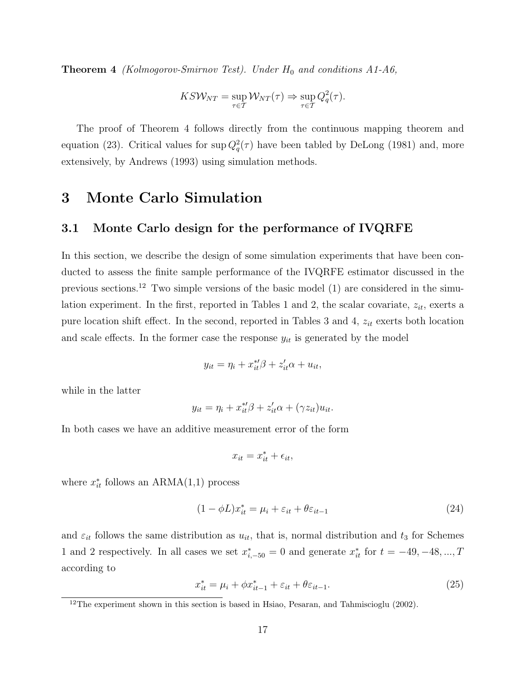**Theorem 4** (Kolmogorov-Smirnov Test). Under  $H_0$  and conditions A1-A6,

$$
KSW_{NT} = \sup_{\tau \in T} \mathcal{W}_{NT}(\tau) \Rightarrow \sup_{\tau \in T} Q_q^2(\tau).
$$

The proof of Theorem 4 follows directly from the continuous mapping theorem and equation (23). Critical values for  $\sup Q_q^2(\tau)$  have been tabled by DeLong (1981) and, more extensively, by Andrews (1993) using simulation methods.

### 3 Monte Carlo Simulation

### 3.1 Monte Carlo design for the performance of IVQRFE

In this section, we describe the design of some simulation experiments that have been conducted to assess the finite sample performance of the IVQRFE estimator discussed in the previous sections.<sup>12</sup> Two simple versions of the basic model  $(1)$  are considered in the simulation experiment. In the first, reported in Tables 1 and 2, the scalar covariate,  $z_{it}$ , exerts a pure location shift effect. In the second, reported in Tables 3 and 4,  $z_{it}$  exerts both location and scale effects. In the former case the response  $y_{it}$  is generated by the model

$$
y_{it} = \eta_i + x_{it}^{*} \beta + z_{it}^{\prime} \alpha + u_{it},
$$

while in the latter

$$
y_{it} = \eta_i + x_{it}^{*} \beta + z_{it}^{\prime} \alpha + (\gamma z_{it}) u_{it}.
$$

In both cases we have an additive measurement error of the form

$$
x_{it} = x_{it}^* + \epsilon_{it},
$$

where  $x_{it}^*$  follows an ARMA $(1,1)$  process

$$
(1 - \phi L)x_{it}^* = \mu_i + \varepsilon_{it} + \theta \varepsilon_{it-1}
$$
\n(24)

and  $\varepsilon_{it}$  follows the same distribution as  $u_{it}$ , that is, normal distribution and  $t_3$  for Schemes 1 and 2 respectively. In all cases we set  $x_{i,-50}^* = 0$  and generate  $x_{it}^*$  for  $t = -49, -48, ..., T$ according to

$$
x_{it}^* = \mu_i + \phi x_{it-1}^* + \varepsilon_{it} + \theta \varepsilon_{it-1}.
$$
\n(25)

 $12$ The experiment shown in this section is based in Hsiao, Pesaran, and Tahmiscioglu (2002).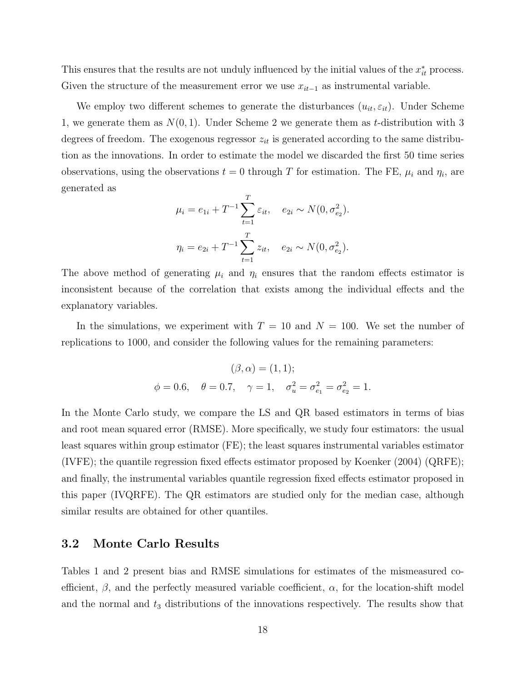This ensures that the results are not unduly influenced by the initial values of the  $x_{it}^*$  process. Given the structure of the measurement error we use  $x_{it-1}$  as instrumental variable.

We employ two different schemes to generate the disturbances  $(u_{it}, \varepsilon_{it})$ . Under Scheme 1, we generate them as  $N(0, 1)$ . Under Scheme 2 we generate them as t-distribution with 3 degrees of freedom. The exogenous regressor  $z_{it}$  is generated according to the same distribution as the innovations. In order to estimate the model we discarded the first 50 time series observations, using the observations  $t = 0$  through T for estimation. The FE,  $\mu_i$  and  $\eta_i$ , are generated as

$$
\mu_i = e_{1i} + T^{-1} \sum_{t=1}^T \varepsilon_{it}, \quad e_{2i} \sim N(0, \sigma_{e_2}^2).
$$

$$
\eta_i = e_{2i} + T^{-1} \sum_{t=1}^T z_{it}, \quad e_{2i} \sim N(0, \sigma_{e_2}^2).
$$

The above method of generating  $\mu_i$  and  $\eta_i$  ensures that the random effects estimator is inconsistent because of the correlation that exists among the individual effects and the explanatory variables.

In the simulations, we experiment with  $T = 10$  and  $N = 100$ . We set the number of replications to 1000, and consider the following values for the remaining parameters:

$$
(\beta, \alpha) = (1, 1);
$$
  

$$
\phi = 0.6, \quad \theta = 0.7, \quad \gamma = 1, \quad \sigma_u^2 = \sigma_{e_1}^2 = \sigma_{e_2}^2 = 1.
$$

In the Monte Carlo study, we compare the LS and QR based estimators in terms of bias and root mean squared error (RMSE). More specifically, we study four estimators: the usual least squares within group estimator (FE); the least squares instrumental variables estimator (IVFE); the quantile regression fixed effects estimator proposed by Koenker (2004) (QRFE); and finally, the instrumental variables quantile regression fixed effects estimator proposed in this paper (IVQRFE). The QR estimators are studied only for the median case, although similar results are obtained for other quantiles.

### 3.2 Monte Carlo Results

Tables 1 and 2 present bias and RMSE simulations for estimates of the mismeasured coefficient,  $\beta$ , and the perfectly measured variable coefficient,  $\alpha$ , for the location-shift model and the normal and  $t_3$  distributions of the innovations respectively. The results show that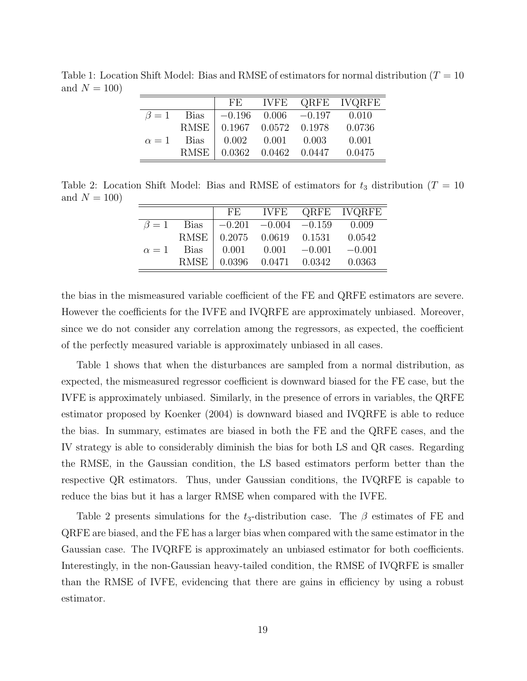|              |                  | FE                        |                 |                            | IVFE QRFE IVQRFE |
|--------------|------------------|---------------------------|-----------------|----------------------------|------------------|
|              | $\beta = 1$ Bias |                           |                 | $-0.196$ 0.006 $-0.197$    | 0.010            |
|              |                  | RMSE 0.1967 0.0572 0.1978 |                 |                            | 0.0736           |
| $\alpha = 1$ | Bias             |                           | $0.002$ $0.001$ | 0.003                      | 0.001            |
|              | RMSE             |                           |                 | $0.0362$ $0.0462$ $0.0447$ | 0.0475           |

Table 1: Location Shift Model: Bias and RMSE of estimators for normal distribution ( $T = 10$ ) and  $N = 100$ 

Table 2: Location Shift Model: Bias and RMSE of estimators for  $t_3$  distribution (T = 10) and  $N = 100$ 

|  |                                                                       | FE IVFE QRFE IVQRFE |
|--|-----------------------------------------------------------------------|---------------------|
|  | $\beta = 1$ Bias $\vert -0.201 \vert -0.004 \vert -0.159 \vert 0.009$ |                     |
|  | RMSE 0.2075 0.0619 0.1531 0.0542                                      |                     |
|  | $\alpha = 1$ Bias   0.001 0.001 -0.001 -0.001                         |                     |
|  | RMSE   0.0396  0.0471  0.0342  0.0363                                 |                     |

the bias in the mismeasured variable coefficient of the FE and QRFE estimators are severe. However the coefficients for the IVFE and IVQRFE are approximately unbiased. Moreover, since we do not consider any correlation among the regressors, as expected, the coefficient of the perfectly measured variable is approximately unbiased in all cases.

Table 1 shows that when the disturbances are sampled from a normal distribution, as expected, the mismeasured regressor coefficient is downward biased for the FE case, but the IVFE is approximately unbiased. Similarly, in the presence of errors in variables, the QRFE estimator proposed by Koenker (2004) is downward biased and IVQRFE is able to reduce the bias. In summary, estimates are biased in both the FE and the QRFE cases, and the IV strategy is able to considerably diminish the bias for both LS and QR cases. Regarding the RMSE, in the Gaussian condition, the LS based estimators perform better than the respective QR estimators. Thus, under Gaussian conditions, the IVQRFE is capable to reduce the bias but it has a larger RMSE when compared with the IVFE.

Table 2 presents simulations for the  $t_3$ -distribution case. The  $\beta$  estimates of FE and QRFE are biased, and the FE has a larger bias when compared with the same estimator in the Gaussian case. The IVQRFE is approximately an unbiased estimator for both coefficients. Interestingly, in the non-Gaussian heavy-tailed condition, the RMSE of IVQRFE is smaller than the RMSE of IVFE, evidencing that there are gains in efficiency by using a robust estimator.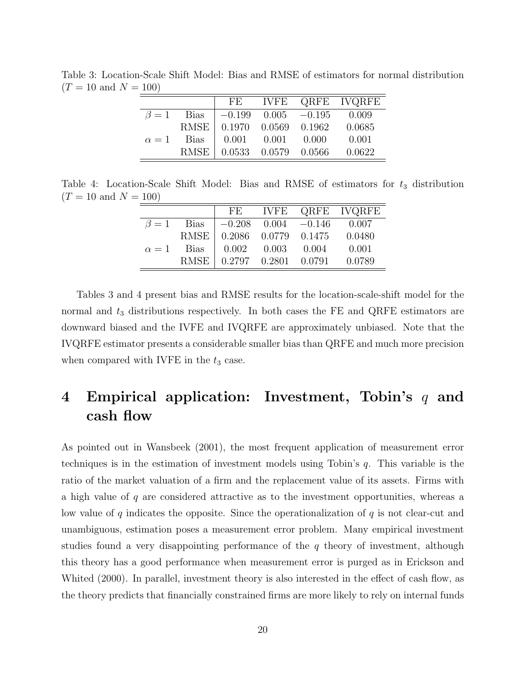|              |        | $\rm FE$                    | <b>IVFE</b> |                           | QRFE IVQRFE |
|--------------|--------|-----------------------------|-------------|---------------------------|-------------|
| $\beta=1$    | Bias   |                             |             | $-0.199$ $0.005$ $-0.195$ | 0.009       |
|              |        | RMSE   0.1970 0.0569 0.1962 |             |                           | 0.0685      |
| $\alpha = 1$ | - Bias | 0.001                       | 0.001       | - 0.000                   | 0.001       |
|              |        | RMSE   0.0533 0.0579 0.0566 |             |                           | 0.0622      |

Table 3: Location-Scale Shift Model: Bias and RMSE of estimators for normal distribution  $(T = 10 \text{ and } N = 100)$ 

Table 4: Location-Scale Shift Model: Bias and RMSE of estimators for  $t_3$  distribution  $(T = 10 \text{ and } N = 100)$ 

|            |                  | FE    |                            |       | IVFE QRFE IVQRFE |
|------------|------------------|-------|----------------------------|-------|------------------|
|            | $\beta = 1$ Bias |       | $-0.208$ $0.004$ $-0.146$  |       | 0.007            |
|            | <b>RMSE</b>      |       | 0.2086 0.0779 0.1475       |       | 0.0480           |
| $\alpha=1$ | - Bias           | 0.002 | 0.003                      | 0.004 | 0.001            |
|            | <b>RMSE</b>      |       | $0.2797$ $0.2801$ $0.0791$ |       | 0.0789           |

Tables 3 and 4 present bias and RMSE results for the location-scale-shift model for the normal and  $t_3$  distributions respectively. In both cases the FE and QRFE estimators are downward biased and the IVFE and IVQRFE are approximately unbiased. Note that the IVQRFE estimator presents a considerable smaller bias than QRFE and much more precision when compared with IVFE in the  $t_3$  case.

# 4 Empirical application: Investment, Tobin's  $q$  and cash flow

As pointed out in Wansbeek (2001), the most frequent application of measurement error techniques is in the estimation of investment models using Tobin's q. This variable is the ratio of the market valuation of a firm and the replacement value of its assets. Firms with a high value of  $q$  are considered attractive as to the investment opportunities, whereas a low value of  $q$  indicates the opposite. Since the operationalization of  $q$  is not clear-cut and unambiguous, estimation poses a measurement error problem. Many empirical investment studies found a very disappointing performance of the  $q$  theory of investment, although this theory has a good performance when measurement error is purged as in Erickson and Whited (2000). In parallel, investment theory is also interested in the effect of cash flow, as the theory predicts that financially constrained firms are more likely to rely on internal funds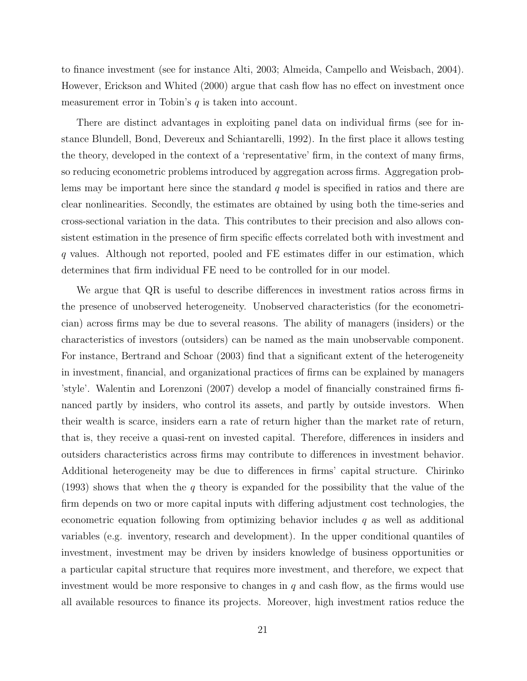to finance investment (see for instance Alti, 2003; Almeida, Campello and Weisbach, 2004). However, Erickson and Whited (2000) argue that cash flow has no effect on investment once measurement error in Tobin's  $q$  is taken into account.

There are distinct advantages in exploiting panel data on individual firms (see for instance Blundell, Bond, Devereux and Schiantarelli, 1992). In the first place it allows testing the theory, developed in the context of a 'representative' firm, in the context of many firms, so reducing econometric problems introduced by aggregation across firms. Aggregation problems may be important here since the standard  $q$  model is specified in ratios and there are clear nonlinearities. Secondly, the estimates are obtained by using both the time-series and cross-sectional variation in the data. This contributes to their precision and also allows consistent estimation in the presence of firm specific effects correlated both with investment and q values. Although not reported, pooled and FE estimates differ in our estimation, which determines that firm individual FE need to be controlled for in our model.

We argue that QR is useful to describe differences in investment ratios across firms in the presence of unobserved heterogeneity. Unobserved characteristics (for the econometrician) across firms may be due to several reasons. The ability of managers (insiders) or the characteristics of investors (outsiders) can be named as the main unobservable component. For instance, Bertrand and Schoar (2003) find that a significant extent of the heterogeneity in investment, financial, and organizational practices of firms can be explained by managers 'style'. Walentin and Lorenzoni (2007) develop a model of financially constrained firms financed partly by insiders, who control its assets, and partly by outside investors. When their wealth is scarce, insiders earn a rate of return higher than the market rate of return, that is, they receive a quasi-rent on invested capital. Therefore, differences in insiders and outsiders characteristics across firms may contribute to differences in investment behavior. Additional heterogeneity may be due to differences in firms' capital structure. Chirinko (1993) shows that when the q theory is expanded for the possibility that the value of the firm depends on two or more capital inputs with differing adjustment cost technologies, the econometric equation following from optimizing behavior includes  $q$  as well as additional variables (e.g. inventory, research and development). In the upper conditional quantiles of investment, investment may be driven by insiders knowledge of business opportunities or a particular capital structure that requires more investment, and therefore, we expect that investment would be more responsive to changes in  $q$  and cash flow, as the firms would use all available resources to finance its projects. Moreover, high investment ratios reduce the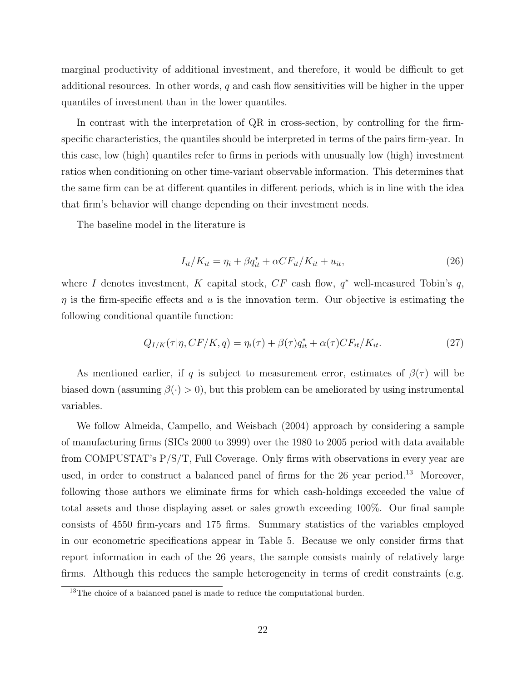marginal productivity of additional investment, and therefore, it would be difficult to get additional resources. In other words,  $q$  and cash flow sensitivities will be higher in the upper quantiles of investment than in the lower quantiles.

In contrast with the interpretation of QR in cross-section, by controlling for the firmspecific characteristics, the quantiles should be interpreted in terms of the pairs firm-year. In this case, low (high) quantiles refer to firms in periods with unusually low (high) investment ratios when conditioning on other time-variant observable information. This determines that the same firm can be at different quantiles in different periods, which is in line with the idea that firm's behavior will change depending on their investment needs.

The baseline model in the literature is

$$
I_{it}/K_{it} = \eta_i + \beta q_{it}^* + \alpha C F_{it}/K_{it} + u_{it},\tag{26}
$$

where I denotes investment, K capital stock,  $CF$  cash flow,  $q^*$  well-measured Tobin's q,  $\eta$  is the firm-specific effects and u is the innovation term. Our objective is estimating the following conditional quantile function:

$$
Q_{I/K}(\tau|\eta, CF/K, q) = \eta_i(\tau) + \beta(\tau)q_{it}^* + \alpha(\tau)CF_{it}/K_{it}.
$$
\n(27)

As mentioned earlier, if q is subject to measurement error, estimates of  $\beta(\tau)$  will be biased down (assuming  $\beta(\cdot) > 0$ ), but this problem can be ameliorated by using instrumental variables.

We follow Almeida, Campello, and Weisbach (2004) approach by considering a sample of manufacturing firms (SICs 2000 to 3999) over the 1980 to 2005 period with data available from COMPUSTAT's P/S/T, Full Coverage. Only firms with observations in every year are used, in order to construct a balanced panel of firms for the 26 year period.<sup>13</sup> Moreover, following those authors we eliminate firms for which cash-holdings exceeded the value of total assets and those displaying asset or sales growth exceeding 100%. Our final sample consists of 4550 firm-years and 175 firms. Summary statistics of the variables employed in our econometric specifications appear in Table 5. Because we only consider firms that report information in each of the 26 years, the sample consists mainly of relatively large firms. Although this reduces the sample heterogeneity in terms of credit constraints (e.g.

<sup>&</sup>lt;sup>13</sup>The choice of a balanced panel is made to reduce the computational burden.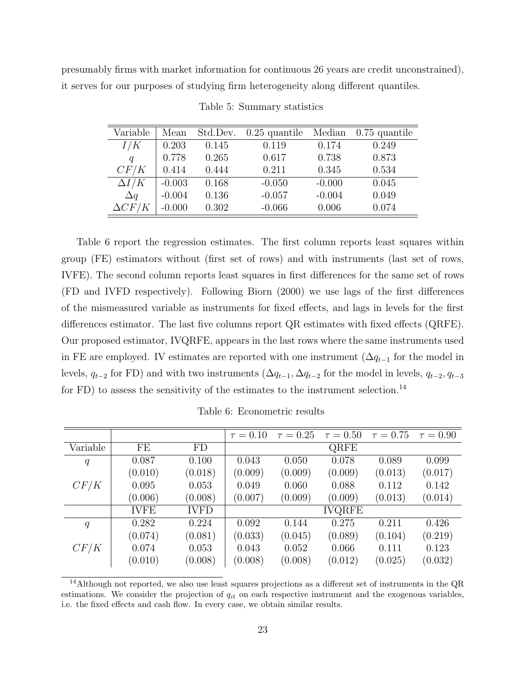presumably firms with market information for continuous 26 years are credit unconstrained), it serves for our purposes of studying firm heterogeneity along different quantiles.

| Variable      | Mean     | Std.Dev. | $0.25$ quantile | Median   | $0.75$ quantile |
|---------------|----------|----------|-----------------|----------|-----------------|
| I/K           | 0.203    | 0.145    | 0.119           | 0.174    | 0.249           |
| q             | 0.778    | 0.265    | 0.617           | 0.738    | 0.873           |
| CF/K          | 0.414    | 0.444    | 0.211           | 0.345    | 0.534           |
| $\Delta I/K$  | $-0.003$ | 0.168    | $-0.050$        | $-0.000$ | 0.045           |
| $\Delta q$    | $-0.004$ | 0.136    | $-0.057$        | $-0.004$ | 0.049           |
| $\Delta C F/$ | $-0.000$ | 0.302    | $-0.066$        | 0.006    | 0.074           |

Table 5: Summary statistics

Table 6 report the regression estimates. The first column reports least squares within group (FE) estimators without (first set of rows) and with instruments (last set of rows, IVFE). The second column reports least squares in first differences for the same set of rows (FD and IVFD respectively). Following Biorn (2000) we use lags of the first differences of the mismeasured variable as instruments for fixed effects, and lags in levels for the first differences estimator. The last five columns report QR estimates with fixed effects (QRFE). Our proposed estimator, IVQRFE, appears in the last rows where the same instruments used in FE are employed. IV estimates are reported with one instrument  $(\Delta q_{t-1}$  for the model in levels,  $q_{t-2}$  for FD) and with two instruments  $(\Delta q_{t-1}, \Delta q_{t-2})$  for the model in levels,  $q_{t-2}, q_{t-3}$ for FD) to assess the sensitivity of the estimates to the instrument selection.<sup>14</sup>

|          |             |             | $\tau = 0.10$ | $\tau = 0.25$ | $\tau = 0.50$ |         | $\tau = 0.75$ $\tau = 0.90$ |
|----------|-------------|-------------|---------------|---------------|---------------|---------|-----------------------------|
| Variable | FE          | FD          |               |               | QRFE          |         |                             |
| q        | 0.087       | 0.100       | 0.043         | 0.050         | 0.078         | 0.089   | 0.099                       |
|          | (0.010)     | (0.018)     | (0.009)       | (0.009)       | (0.009)       | (0.013) | (0.017)                     |
| CF/K     | 0.095       | 0.053       | 0.049         | 0.060         | 0.088         | 0.112   | 0.142                       |
|          | (0.006)     | (0.008)     | (0.007)       | (0.009)       | (0.009)       | (0.013) | (0.014)                     |
|          | <b>IVFE</b> | <b>IVFD</b> |               |               | <b>IVQRFE</b> |         |                             |
| q        | 0.282       | 0.224       | 0.092         | 0.144         | 0.275         | 0.211   | 0.426                       |
|          | (0.074)     | (0.081)     | (0.033)       | (0.045)       | (0.089)       | (0.104) | (0.219)                     |
| CF/K     | 0.074       | 0.053       | 0.043         | 0.052         | 0.066         | 0.111   | 0.123                       |
|          | (0.010)     | (0.008)     | (0.008)       | (0.008)       | (0.012)       | (0.025) | (0.032)                     |

Table 6: Econometric results

<sup>&</sup>lt;sup>14</sup>Although not reported, we also use least squares projections as a different set of instruments in the  $QR$ estimations. We consider the projection of  $q_{it}$  on each respective instrument and the exogenous variables, i.e. the fixed effects and cash flow. In every case, we obtain similar results.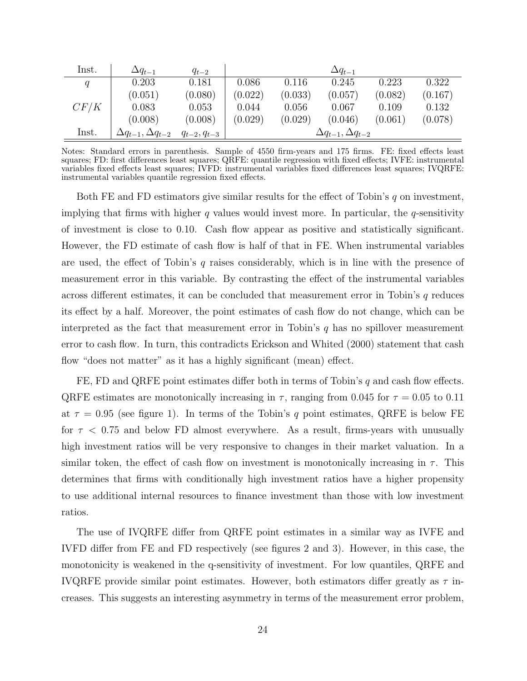| Inst. | $\Delta q_{t-1}$                 | $q_{t-2}$          |         |         | $\Delta q_{t-1}$                 |         |         |
|-------|----------------------------------|--------------------|---------|---------|----------------------------------|---------|---------|
| q     | 0.203                            | 0.181              | 0.086   | 0.116   | 0.245                            | 0.223   | 0.322   |
|       | (0.051)                          | (0.080)            | (0.022) | (0.033) | (0.057)                          | (0.082) | (0.167) |
| CF/K  | 0.083                            | 0.053              | 0.044   | 0.056   | 0.067                            | 0.109   | 0.132   |
|       | (0.008)                          | (0.008)            | (0.029) | (0.029) | (0.046)                          | (0.061) | (0.078) |
| Inst. | $\Delta q_{t-1}, \Delta q_{t-2}$ | $q_{t-2}, q_{t-3}$ |         |         | $\Delta q_{t-1}, \Delta q_{t-2}$ |         |         |

Notes: Standard errors in parenthesis. Sample of 4550 firm-years and 175 firms. FE: fixed effects least squares; FD: first differences least squares; QRFE: quantile regression with fixed effects; IVFE: instrumental variables fixed effects least squares; IVFD: instrumental variables fixed differences least squares; IVQRFE: instrumental variables quantile regression fixed effects.

Both FE and FD estimators give similar results for the effect of Tobin's  $q$  on investment, implying that firms with higher q values would invest more. In particular, the q-sensitivity of investment is close to 0.10. Cash flow appear as positive and statistically significant. However, the FD estimate of cash flow is half of that in FE. When instrumental variables are used, the effect of Tobin's q raises considerably, which is in line with the presence of measurement error in this variable. By contrasting the effect of the instrumental variables across different estimates, it can be concluded that measurement error in Tobin's q reduces its effect by a half. Moreover, the point estimates of cash flow do not change, which can be interpreted as the fact that measurement error in Tobin's  $q$  has no spillover measurement error to cash flow. In turn, this contradicts Erickson and Whited (2000) statement that cash flow "does not matter" as it has a highly significant (mean) effect.

FE, FD and QRFE point estimates differ both in terms of Tobin's  $q$  and cash flow effects. QRFE estimates are monotonically increasing in  $\tau$ , ranging from 0.045 for  $\tau = 0.05$  to 0.11 at  $\tau = 0.95$  (see figure 1). In terms of the Tobin's q point estimates, QRFE is below FE for  $\tau$  < 0.75 and below FD almost everywhere. As a result, firms-years with unusually high investment ratios will be very responsive to changes in their market valuation. In a similar token, the effect of cash flow on investment is monotonically increasing in  $\tau$ . This determines that firms with conditionally high investment ratios have a higher propensity to use additional internal resources to finance investment than those with low investment ratios.

The use of IVQRFE differ from QRFE point estimates in a similar way as IVFE and IVFD differ from FE and FD respectively (see figures 2 and 3). However, in this case, the monotonicity is weakened in the q-sensitivity of investment. For low quantiles, QRFE and IVQRFE provide similar point estimates. However, both estimators differ greatly as  $\tau$  increases. This suggests an interesting asymmetry in terms of the measurement error problem,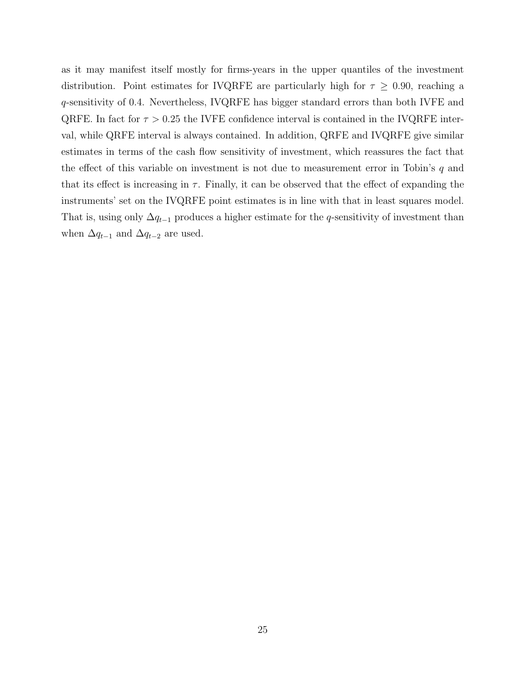as it may manifest itself mostly for firms-years in the upper quantiles of the investment distribution. Point estimates for IVQRFE are particularly high for  $\tau \geq 0.90$ , reaching a q-sensitivity of 0.4. Nevertheless, IVQRFE has bigger standard errors than both IVFE and QRFE. In fact for  $\tau > 0.25$  the IVFE confidence interval is contained in the IVQRFE interval, while QRFE interval is always contained. In addition, QRFE and IVQRFE give similar estimates in terms of the cash flow sensitivity of investment, which reassures the fact that the effect of this variable on investment is not due to measurement error in Tobin's  $q$  and that its effect is increasing in  $\tau$ . Finally, it can be observed that the effect of expanding the instruments' set on the IVQRFE point estimates is in line with that in least squares model. That is, using only  $\Delta q_{t-1}$  produces a higher estimate for the q-sensitivity of investment than when  $\Delta q_{t-1}$  and  $\Delta q_{t-2}$  are used.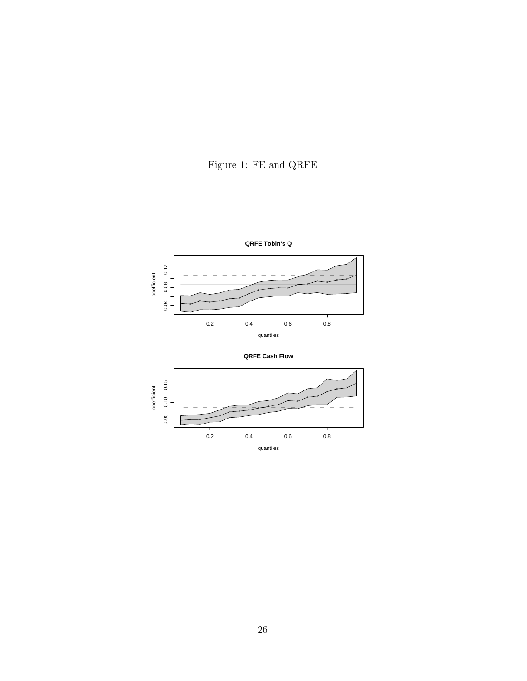



**QRFE Cash Flow**

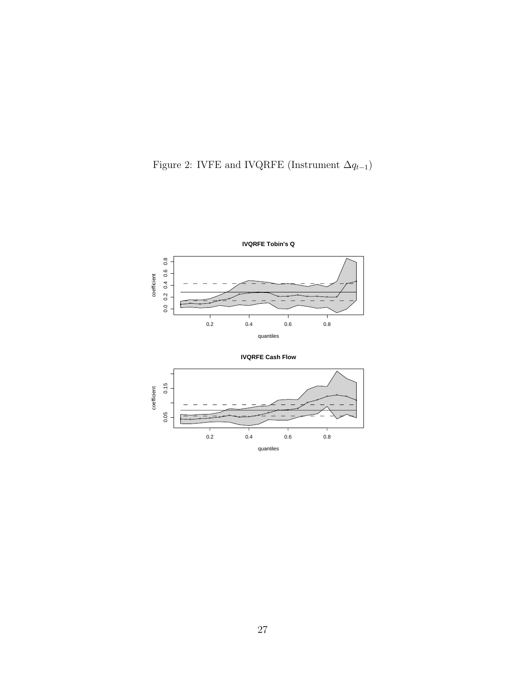



**IVQRFE Cash Flow**

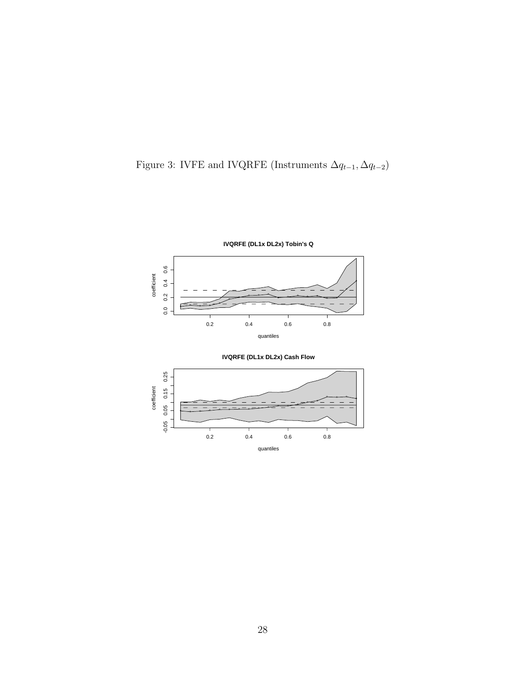





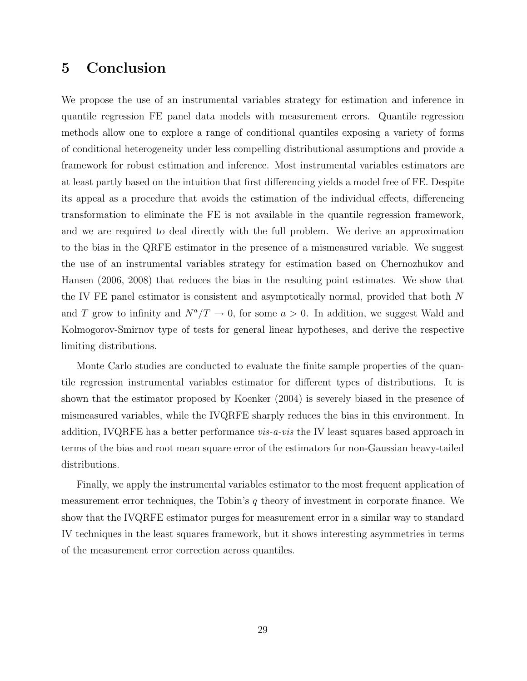## 5 Conclusion

We propose the use of an instrumental variables strategy for estimation and inference in quantile regression FE panel data models with measurement errors. Quantile regression methods allow one to explore a range of conditional quantiles exposing a variety of forms of conditional heterogeneity under less compelling distributional assumptions and provide a framework for robust estimation and inference. Most instrumental variables estimators are at least partly based on the intuition that first differencing yields a model free of FE. Despite its appeal as a procedure that avoids the estimation of the individual effects, differencing transformation to eliminate the FE is not available in the quantile regression framework, and we are required to deal directly with the full problem. We derive an approximation to the bias in the QRFE estimator in the presence of a mismeasured variable. We suggest the use of an instrumental variables strategy for estimation based on Chernozhukov and Hansen (2006, 2008) that reduces the bias in the resulting point estimates. We show that the IV FE panel estimator is consistent and asymptotically normal, provided that both N and T grow to infinity and  $N^a/T \to 0$ , for some  $a > 0$ . In addition, we suggest Wald and Kolmogorov-Smirnov type of tests for general linear hypotheses, and derive the respective limiting distributions.

Monte Carlo studies are conducted to evaluate the finite sample properties of the quantile regression instrumental variables estimator for different types of distributions. It is shown that the estimator proposed by Koenker (2004) is severely biased in the presence of mismeasured variables, while the IVQRFE sharply reduces the bias in this environment. In addition, IVQRFE has a better performance *vis-a-vis* the IV least squares based approach in terms of the bias and root mean square error of the estimators for non-Gaussian heavy-tailed distributions.

Finally, we apply the instrumental variables estimator to the most frequent application of measurement error techniques, the Tobin's  $q$  theory of investment in corporate finance. We show that the IVQRFE estimator purges for measurement error in a similar way to standard IV techniques in the least squares framework, but it shows interesting asymmetries in terms of the measurement error correction across quantiles.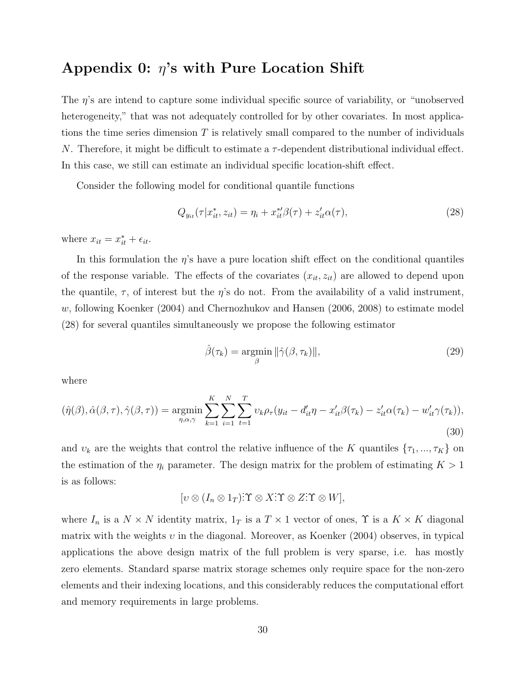### Appendix 0:  $\eta$ 's with Pure Location Shift

The  $\eta$ 's are intend to capture some individual specific source of variability, or "unobserved" heterogeneity," that was not adequately controlled for by other covariates. In most applications the time series dimension  $T$  is relatively small compared to the number of individuals N. Therefore, it might be difficult to estimate a  $\tau$ -dependent distributional individual effect. In this case, we still can estimate an individual specific location-shift effect.

Consider the following model for conditional quantile functions

$$
Q_{y_{it}}(\tau | x_{it}^*, z_{it}) = \eta_i + x_{it}^{*} \beta(\tau) + z_{it}^{\prime} \alpha(\tau), \qquad (28)
$$

where  $x_{it} = x_{it}^* + \epsilon_{it}$ .

In this formulation the  $\eta$ 's have a pure location shift effect on the conditional quantiles of the response variable. The effects of the covariates  $(x_{it}, z_{it})$  are allowed to depend upon the quantile,  $\tau$ , of interest but the  $\eta$ 's do not. From the availability of a valid instrument, w, following Koenker (2004) and Chernozhukov and Hansen (2006, 2008) to estimate model (28) for several quantiles simultaneously we propose the following estimator

$$
\hat{\beta}(\tau_k) = \underset{\beta}{\text{argmin}} \|\hat{\gamma}(\beta, \tau_k)\|,\tag{29}
$$

where

$$
(\hat{\eta}(\beta), \hat{\alpha}(\beta, \tau), \hat{\gamma}(\beta, \tau)) = \underset{\eta, \alpha, \gamma}{\text{argmin}} \sum_{k=1}^{K} \sum_{i=1}^{N} \sum_{t=1}^{T} v_k \rho_{\tau}(y_{it} - d'_{it}\eta - x'_{it}\beta(\tau_k) - z'_{it}\alpha(\tau_k) - w'_{it}\gamma(\tau_k)),
$$
\n(30)

and  $v_k$  are the weights that control the relative influence of the K quantiles  $\{\tau_1, ..., \tau_K\}$  on the estimation of the  $\eta_i$  parameter. The design matrix for the problem of estimating  $K > 1$ is as follows:

$$
[v \otimes (I_n \otimes 1_T) \dot{\mathbf{T}} \otimes X \dot{\mathbf{T}} \otimes Z \dot{\mathbf{T}} \otimes W],
$$

where  $I_n$  is a  $N \times N$  identity matrix,  $1_T$  is a  $T \times 1$  vector of ones,  $\Upsilon$  is a  $K \times K$  diagonal matrix with the weights  $v$  in the diagonal. Moreover, as Koenker (2004) observes, in typical applications the above design matrix of the full problem is very sparse, i.e. has mostly zero elements. Standard sparse matrix storage schemes only require space for the non-zero elements and their indexing locations, and this considerably reduces the computational effort and memory requirements in large problems.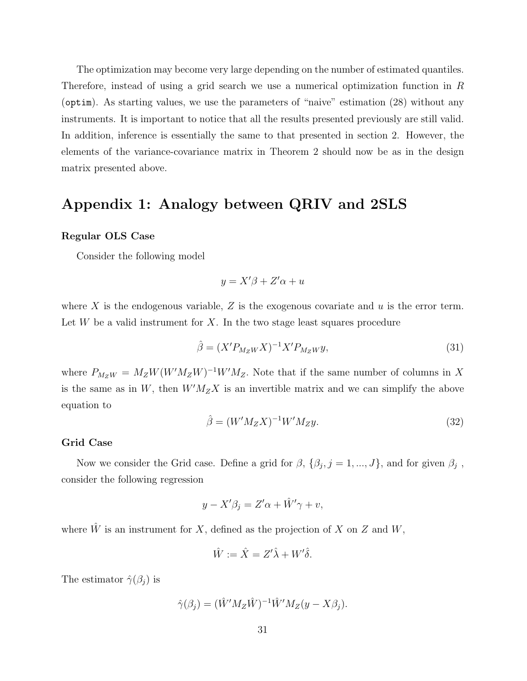The optimization may become very large depending on the number of estimated quantiles. Therefore, instead of using a grid search we use a numerical optimization function in R (optim). As starting values, we use the parameters of "naive" estimation (28) without any instruments. It is important to notice that all the results presented previously are still valid. In addition, inference is essentially the same to that presented in section 2. However, the elements of the variance-covariance matrix in Theorem 2 should now be as in the design matrix presented above.

# Appendix 1: Analogy between QRIV and 2SLS

### Regular OLS Case

Consider the following model

$$
y = X'\beta + Z'\alpha + u
$$

where X is the endogenous variable, Z is the exogenous covariate and  $u$  is the error term. Let  $W$  be a valid instrument for  $X$ . In the two stage least squares procedure

$$
\hat{\beta} = (X' P_{M_Z W} X)^{-1} X' P_{M_Z W} y,\tag{31}
$$

where  $P_{M_ZW} = M_ZW(W'M_ZW)^{-1}W'M_Z$ . Note that if the same number of columns in X is the same as in W, then  $W'M_ZX$  is an invertible matrix and we can simplify the above equation to

$$
\hat{\beta} = (W'M_ZX)^{-1}W'M_Zy.
$$
\n(32)

#### Grid Case

Now we consider the Grid case. Define a grid for  $\beta$ ,  $\{\beta_j, j = 1, ..., J\}$ , and for given  $\beta_j$ , consider the following regression

$$
y - X'\beta_j = Z'\alpha + \hat{W}'\gamma + v,
$$

where  $\hat{W}$  is an instrument for X, defined as the projection of X on Z and W,

$$
\hat{W} := \hat{X} = Z'\hat{\lambda} + W'\hat{\delta}.
$$

The estimator  $\hat{\gamma}(\beta_j)$  is

$$
\hat{\gamma}(\beta_j) = (\hat{W}' M_Z \hat{W})^{-1} \hat{W}' M_Z (y - X \beta_j).
$$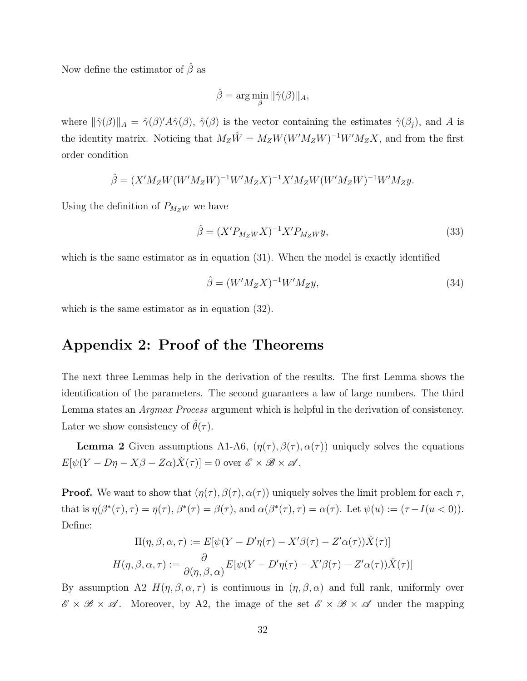Now define the estimator of  $\hat{\beta}$  as

$$
\hat{\beta} = \arg\min_{\beta} \|\hat{\gamma}(\beta)\|_{A},
$$

where  $\|\hat{\gamma}(\beta)\|_A = \hat{\gamma}(\beta)'A\hat{\gamma}(\beta)$ ,  $\hat{\gamma}(\beta)$  is the vector containing the estimates  $\hat{\gamma}(\beta_j)$ , and A is the identity matrix. Noticing that  $M_Z\hat{W} = M_ZW(W'M_ZW)^{-1}W'M_ZX$ , and from the first order condition

$$
\hat{\beta} = (X'M_ZW(W'M_ZW)^{-1}W'M_ZX)^{-1}X'M_ZW(W'M_ZW)^{-1}W'M_Zy.
$$

Using the definition of  $P_{M_ZW}$  we have

$$
\hat{\beta} = (X' P_{M_Z W} X)^{-1} X' P_{M_Z W} y,\tag{33}
$$

which is the same estimator as in equation (31). When the model is exactly identified

$$
\hat{\beta} = (W'M_ZX)^{-1}W'M_Zy,\tag{34}
$$

which is the same estimator as in equation (32).

### Appendix 2: Proof of the Theorems

The next three Lemmas help in the derivation of the results. The first Lemma shows the identification of the parameters. The second guarantees a law of large numbers. The third Lemma states an *Argmax Process* argument which is helpful in the derivation of consistency. Later we show consistency of  $\hat{\theta}(\tau)$ .

**Lemma 2** Given assumptions A1-A6,  $(\eta(\tau), \beta(\tau), \alpha(\tau))$  uniquely solves the equations  $E[\psi(Y - D\eta - X\beta - Z\alpha)\check{X}(\tau)] = 0$  over  $\mathscr{E} \times \mathscr{B} \times \mathscr{A}$ .

**Proof.** We want to show that  $(\eta(\tau), \beta(\tau), \alpha(\tau))$  uniquely solves the limit problem for each  $\tau$ , that is  $\eta(\beta^*(\tau), \tau) = \eta(\tau), \beta^*(\tau) = \beta(\tau)$ , and  $\alpha(\beta^*(\tau), \tau) = \alpha(\tau)$ . Let  $\psi(u) := (\tau - I(u < 0))$ . Define:

$$
\Pi(\eta, \beta, \alpha, \tau) := E[\psi(Y - D'\eta(\tau) - X'\beta(\tau) - Z'\alpha(\tau))\check{X}(\tau)]
$$

$$
H(\eta, \beta, \alpha, \tau) := \frac{\partial}{\partial(\eta, \beta, \alpha)} E[\psi(Y - D'\eta(\tau) - X'\beta(\tau) - Z'\alpha(\tau))\check{X}(\tau)]
$$

By assumption A2  $H(\eta, \beta, \alpha, \tau)$  is continuous in  $(\eta, \beta, \alpha)$  and full rank, uniformly over  $\mathscr{E} \times \mathscr{B} \times \mathscr{A}$ . Moreover, by A2, the image of the set  $\mathscr{E} \times \mathscr{B} \times \mathscr{A}$  under the mapping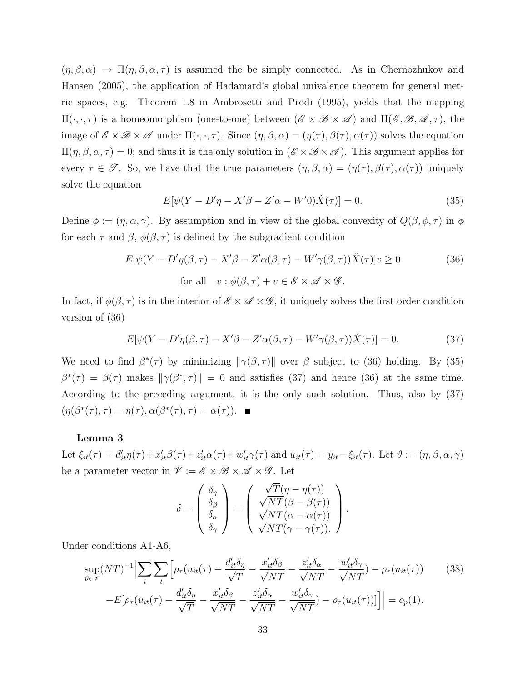$(\eta, \beta, \alpha) \to \Pi(\eta, \beta, \alpha, \tau)$  is assumed the be simply connected. As in Chernozhukov and Hansen (2005), the application of Hadamard's global univalence theorem for general metric spaces, e.g. Theorem 1.8 in Ambrosetti and Prodi (1995), yields that the mapping  $\Pi(\cdot,\cdot,\tau)$  is a homeomorphism (one-to-one) between  $(\mathscr{E} \times \mathscr{B} \times \mathscr{A})$  and  $\Pi(\mathscr{E}, \mathscr{B}, \mathscr{A}, \tau)$ , the image of  $\mathscr{E} \times \mathscr{B} \times \mathscr{A}$  under  $\Pi(\cdot, \cdot, \tau)$ . Since  $(\eta, \beta, \alpha) = (\eta(\tau), \beta(\tau), \alpha(\tau))$  solves the equation  $\Pi(\eta,\beta,\alpha,\tau) = 0$ ; and thus it is the only solution in  $(\mathscr{E} \times \mathscr{B} \times \mathscr{A})$ . This argument applies for every  $\tau \in \mathscr{T}$ . So, we have that the true parameters  $(\eta, \beta, \alpha) = (\eta(\tau), \beta(\tau), \alpha(\tau))$  uniquely solve the equation

$$
E[\psi(Y - D'\eta - X'\beta - Z'\alpha - W'0)\check{X}(\tau)] = 0.
$$
\n(35)

Define  $\phi := (\eta, \alpha, \gamma)$ . By assumption and in view of the global convexity of  $Q(\beta, \phi, \tau)$  in  $\phi$ for each  $\tau$  and  $\beta$ ,  $\phi(\beta, \tau)$  is defined by the subgradient condition

$$
E[\psi(Y - D'\eta(\beta, \tau) - X'\beta - Z'\alpha(\beta, \tau) - W'\gamma(\beta, \tau))\check{X}(\tau)]v \ge 0
$$
  
for all  $v : \phi(\beta, \tau) + v \in \mathscr{E} \times \mathscr{A} \times \mathscr{G}$ . (36)

In fact, if  $\phi(\beta, \tau)$  is in the interior of  $\mathscr{E} \times \mathscr{A} \times \mathscr{G}$ , it uniquely solves the first order condition version of (36)

$$
E[\psi(Y - D'\eta(\beta, \tau) - X'\beta - Z'\alpha(\beta, \tau) - W'\gamma(\beta, \tau))\check{X}(\tau)] = 0.
$$
\n(37)

We need to find  $\beta^*(\tau)$  by minimizing  $\|\gamma(\beta, \tau)\|$  over  $\beta$  subject to (36) holding. By (35)  $\beta^*(\tau) = \beta(\tau)$  makes  $\|\gamma(\beta^*, \tau)\| = 0$  and satisfies (37) and hence (36) at the same time. According to the preceding argument, it is the only such solution. Thus, also by (37)  $(\eta(\beta^*(\tau), \tau) = \eta(\tau), \alpha(\beta^*(\tau), \tau) = \alpha(\tau)).$ 

#### Lemma 3

Let  $\xi_{it}(\tau) = d'_{it}\eta(\tau) + x'_{it}\beta(\tau) + z'_{it}\alpha(\tau) + w'_{it}\gamma(\tau)$  and  $u_{it}(\tau) = y_{it} - \xi_{it}(\tau)$ . Let  $\vartheta := (\eta, \beta, \alpha, \gamma)$ be a parameter vector in  $\mathcal{V} := \mathcal{E} \times \mathcal{B} \times \mathcal{A} \times \mathcal{G}$ . Let

$$
\delta = \begin{pmatrix} \delta_{\eta} \\ \delta_{\beta} \\ \delta_{\alpha} \\ \delta_{\gamma} \end{pmatrix} = \begin{pmatrix} \sqrt{T}(\eta - \eta(\tau)) \\ \sqrt{NT}(\beta - \beta(\tau)) \\ \sqrt{NT}(\alpha - \alpha(\tau)) \\ \sqrt{NT}(\gamma - \gamma(\tau)), \end{pmatrix}.
$$

Under conditions A1-A6,

$$
\sup_{\vartheta \in \mathcal{V}} (NT)^{-1} \Big| \sum_{i} \sum_{t} \Big[ \rho_{\tau}(u_{it}(\tau) - \frac{d'_{it}\delta_{\eta}}{\sqrt{T}} - \frac{x'_{it}\delta_{\beta}}{\sqrt{NT}} - \frac{z'_{it}\delta_{\alpha}}{\sqrt{NT}} - \frac{w'_{it}\delta_{\gamma}}{\sqrt{NT}}) - \rho_{\tau}(u_{it}(\tau)) \tag{38}
$$

$$
-E[\rho_{\tau}(u_{it}(\tau) - \frac{d'_{it}\delta_{\eta}}{\sqrt{T}} - \frac{x'_{it}\delta_{\beta}}{\sqrt{NT}} - \frac{z'_{it}\delta_{\alpha}}{\sqrt{NT}} - \frac{w'_{it}\delta_{\gamma}}{\sqrt{NT}}) - \rho_{\tau}(u_{it}(\tau))]\Big] \Big| = o_{p}(1).
$$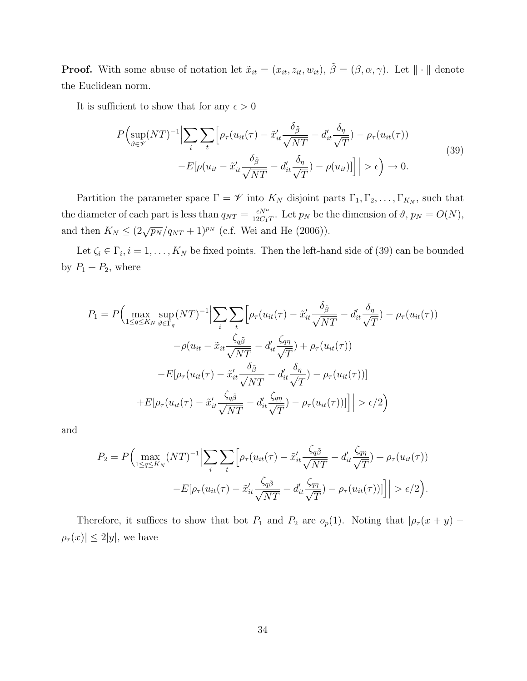**Proof.** With some abuse of notation let  $\tilde{x}_{it} = (x_{it}, z_{it}, w_{it}), \tilde{\beta} = (\beta, \alpha, \gamma)$ . Let  $\|\cdot\|$  denote the Euclidean norm.

It is sufficient to show that for any  $\epsilon > 0$ 

$$
P\Big(\sup_{\vartheta \in \mathcal{V}} (NT)^{-1} \Big| \sum_{i} \sum_{t} \Big[ \rho_{\tau}(u_{it}(\tau) - \tilde{x}_{it}' \frac{\delta_{\tilde{\beta}}}{\sqrt{NT}} - d_{it}' \frac{\delta_{\eta}}{\sqrt{T}}) - \rho_{\tau}(u_{it}(\tau)) - E[\rho(u_{it} - \tilde{x}_{it}' \frac{\delta_{\tilde{\beta}}}{\sqrt{NT}} - d_{it}' \frac{\delta_{\eta}}{\sqrt{T}}) - \rho(u_{it})] \Big] \Big| > \epsilon \Big) \to 0.
$$
\n(39)

Partition the parameter space  $\Gamma = \mathscr{V}$  into  $K_N$  disjoint parts  $\Gamma_1, \Gamma_2, \ldots, \Gamma_{K_N}$ , such that the diameter of each part is less than  $q_{NT} = \frac{\epsilon N^a}{12G}$  $\frac{\epsilon N^u}{12C_1T}$ . Let  $p_N$  be the dimension of  $\vartheta$ ,  $p_N = O(N)$ , and then  $K_N \leq (2\sqrt{p_N}/q_{NT} + 1)^{p_N}$  (c.f. Wei and He (2006)).

Let  $\zeta_i \in \Gamma_i, i = 1, \ldots, K_N$  be fixed points. Then the left-hand side of (39) can be bounded by  $P_1 + P_2$ , where

$$
P_1 = P\Big(\max_{1 \le q \le K_N} \sup_{\vartheta \in \Gamma_q} (NT)^{-1} \Big| \sum_i \sum_t \Big[ \rho_\tau (u_{it}(\tau) - \tilde{x}_{it}' \frac{\delta_{\tilde{\beta}}}{\sqrt{NT}} - d_{it}' \frac{\delta_{\eta}}{\sqrt{T}}) - \rho_\tau (u_{it}(\tau)) -\rho (u_{it} - \tilde{x}_{it} \frac{\zeta_{q\tilde{\beta}}}{\sqrt{NT}} - d_{it}' \frac{\zeta_{q\eta}}{\sqrt{T}}) + \rho_\tau (u_{it}(\tau)) -E[\rho_\tau (u_{it}(\tau) - \tilde{x}_{it}' \frac{\delta_{\tilde{\beta}}}{\sqrt{NT}} - d_{it}' \frac{\delta_{\eta}}{\sqrt{T}}) - \rho_\tau (u_{it}(\tau))]
$$

$$
+ E[\rho_\tau (u_{it}(\tau) - \tilde{x}_{it}' \frac{\zeta_{q\tilde{\beta}}}{\sqrt{NT}} - d_{it}' \frac{\zeta_{q\eta}}{\sqrt{T}}) - \rho_\tau (u_{it}(\tau))] \Big| > \epsilon/2 \Big)
$$

and

$$
P_2 = P\Big(\max_{1 \le q \le K_N} (NT)^{-1} \Big| \sum_i \sum_t \Big[ \rho_\tau (u_{it}(\tau) - \tilde{x}_{it}' \frac{\zeta_q \tilde{\beta}}{\sqrt{NT}} - d_{it}' \frac{\zeta_{q\eta}}{\sqrt{T}}) + \rho_\tau (u_{it}(\tau)) - E[\rho_\tau (u_{it}(\tau) - \tilde{x}_{it}' \frac{\zeta_q \tilde{\beta}}{\sqrt{NT}} - d_{it}' \frac{\zeta_{q\eta}}{\sqrt{T}}) - \rho_\tau (u_{it}(\tau))] \Big] \Big| > \epsilon/2 \Big).
$$

Therefore, it suffices to show that bot  $P_1$  and  $P_2$  are  $o_p(1)$ . Noting that  $|\rho_\tau(x+y) \rho_{\tau}(x)| \leq 2|y|$ , we have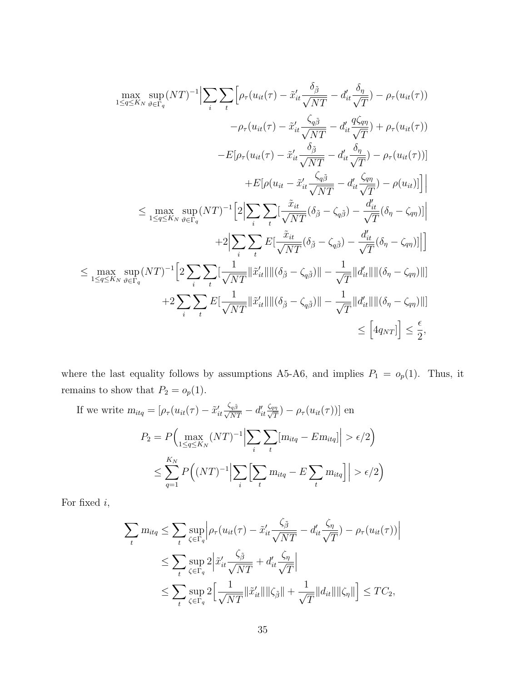$$
\max_{1 \le q \le K_N} \sup_{\vartheta \in \Gamma_q} (NT)^{-1} \Big| \sum_{i} \sum_{t} \Big[ \rho_{\tau} (u_{it}(\tau) - \tilde{x}_{it}' \frac{\delta_{\tilde{\beta}}}{\sqrt{NT}} - d_{it}' \frac{\delta_{\eta}}{\sqrt{T}}) - \rho_{\tau} (u_{it}(\tau)) - \rho_{\tau} (u_{it}(\tau) - \tilde{x}_{it}' \frac{\zeta_{q\tilde{\beta}}}{\sqrt{NT}} - d_{it}' \frac{q\zeta_{q\eta}}{\sqrt{T}}) + \rho_{\tau} (u_{it}(\tau)) - E[\rho_{\tau} (u_{it}(\tau) - \tilde{x}_{it}' \frac{\delta_{\tilde{\beta}}}{\sqrt{NT}} - d_{it}' \frac{q\zeta_{q\eta}}{\sqrt{T}}) - \rho_{\tau} (u_{it}(\tau))] + E[\rho (u_{it} - \tilde{x}_{it}' \frac{\zeta_{q\tilde{\beta}}}{\sqrt{NT}} - d_{it}' \frac{\zeta_{q\eta}}{\sqrt{T}}) - \rho_{\tau} (u_{it}(\tau))] \Big|
$$
  

$$
\le \max_{1 \le q \le K_N} \sup_{\vartheta \in \Gamma_q} (NT)^{-1} \Big[ 2 \Big| \sum_{i} \sum_{t} \Big[ \frac{\tilde{x}_{it}}{\sqrt{NT}} (\delta_{\tilde{\beta}} - \zeta_{q\tilde{\beta}}) - \frac{d_{it}'}{\sqrt{T}} (\delta_{\eta} - \zeta_{q\eta}) \Big] \Big|
$$
  

$$
+ 2 \Big| \sum_{i} \sum_{t} E\Big[ \frac{\tilde{x}_{it}}{\sqrt{NT}} (\delta_{\tilde{\beta}} - \zeta_{q\tilde{\beta}}) - \frac{d_{it}'}{\sqrt{T}} (\delta_{\eta} - \zeta_{q\eta}) \Big] \Big]
$$
  

$$
\le \max_{1 \le q \le K_N} \sup_{\vartheta \in \Gamma_q} (NT)^{-1} \Big[ 2 \sum_{i} \sum_{t} \Big[ \frac{1}{\sqrt{NT}} \Big| \tilde{x}_{it}' \Big| \Big| \Big| \Big( \delta_{\tilde{\beta}} - \zeta_{q\tilde{\beta}} \Big) \Big| - \frac{1}{\sqrt{T}} \Big| d_{it}' \Big| \Big| \Big| \Big( \delta_{\eta} - \zeta_{q\eta} \Big) \Big| \Big]
$$
  
<math display="</math>

where the last equality follows by assumptions A5-A6, and implies  $P_1 = o_p(1)$ . Thus, it remains to show that  $P_2 = o_p(1)$ .

If we write 
$$
m_{itq} = [\rho_{\tau}(u_{it}(\tau) - \tilde{x}_{it}' \frac{\zeta_{q\tilde{\beta}}}{\sqrt{NT}} - d'_{it} \frac{\zeta_{q\eta}}{\sqrt{T}}) - \rho_{\tau}(u_{it}(\tau))]
$$
 en  
\n
$$
P_2 = P\Big(\max_{1 \le q \le K_N} (NT)^{-1} \Big| \sum_i \sum_t [m_{itq} - Em_{itq}] \Big| > \epsilon/2\Big)
$$
\n
$$
\le \sum_{q=1}^{K_N} P\Big((NT)^{-1} \Big| \sum_i \Big[ \sum_t m_{itq} - E \sum_t m_{itq} \Big] \Big| > \epsilon/2\Big)
$$

For fixed  $i,$ 

$$
\sum_{t} m_{itq} \leq \sum_{t} \sup_{\zeta \in \Gamma_q} \left| \rho_{\tau}(u_{it}(\tau) - \tilde{x}_{it}' \frac{\zeta_{\tilde{\beta}}}{\sqrt{NT}} - d_{it}' \frac{\zeta_{\eta}}{\sqrt{T}}) - \rho_{\tau}(u_{it}(\tau)) \right|
$$
  

$$
\leq \sum_{t} \sup_{\zeta \in \Gamma_q} 2 \left| \tilde{x}_{it}' \frac{\zeta_{\tilde{\beta}}}{\sqrt{NT}} + d_{it}' \frac{\zeta_{\eta}}{\sqrt{T}} \right|
$$
  

$$
\leq \sum_{t} \sup_{\zeta \in \Gamma_q} 2 \left[ \frac{1}{\sqrt{NT}} \|\tilde{x}_{it}'\| \|\zeta_{\tilde{\beta}}\| + \frac{1}{\sqrt{T}} \|d_{it}\| \|\zeta_{\eta}\| \right] \leq TC_2,
$$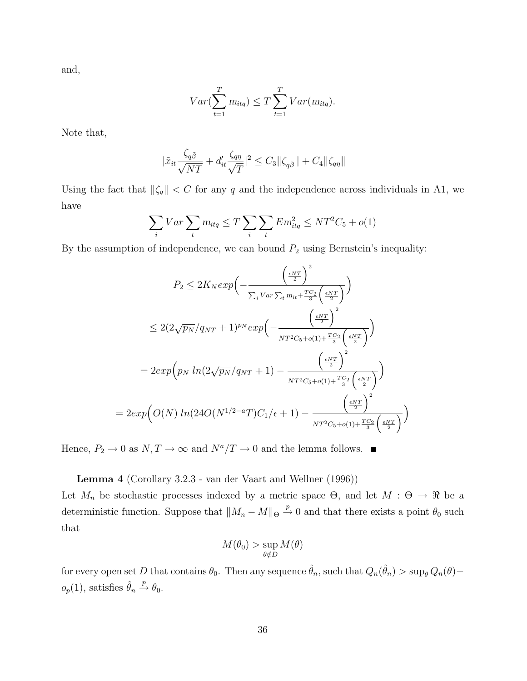and,

$$
Var(\sum_{t=1}^{T} m_{itq}) \le T \sum_{t=1}^{T} Var(m_{itq}).
$$

Note that,

$$
|\tilde{x}_{it}\frac{\zeta_{q\tilde{\beta}}}{\sqrt{NT}}+d'_{it}\frac{\zeta_{q\eta}}{\sqrt{T}}|^2\leq C_3\|\zeta_{q\tilde{\beta}}\|+C_4\|\zeta_{q\eta}\|
$$

Using the fact that  $\|\zeta_q\| < C$  for any q and the independence across individuals in A1, we have

$$
\sum_{i} Var \sum_{t} m_{itq} \le T \sum_{i} \sum_{t} Em_{itq}^{2} \le NT^{2}C_{5} + o(1)
$$

By the assumption of independence, we can bound  $P_2$  using Bernstein's inequality:

$$
P_2 \le 2K_N exp\left(-\frac{\left(\frac{\epsilon NT}{2}\right)^2}{\sum_i Var \sum_t m_{it} + \frac{TC_2}{3}\left(\frac{\epsilon NT}{2}\right)}\right)
$$
  

$$
\le 2(2\sqrt{p_N}/q_{NT} + 1)^{p_N} exp\left(-\frac{\left(\frac{\epsilon NT}{2}\right)^2}{NT^2C_5 + o(1) + \frac{TC_2}{3}\left(\frac{\epsilon NT}{2}\right)}\right)
$$
  

$$
= 2exp\left(p_N ln(2\sqrt{p_N}/q_{NT} + 1) - \frac{\left(\frac{\epsilon NT}{2}\right)^2}{NT^2C_5 + o(1) + \frac{TC_2}{3}\left(\frac{\epsilon NT}{2}\right)}\right)
$$
  

$$
= 2exp\left(O(N) ln(24O(N^{1/2-a}T)C_1/\epsilon + 1) - \frac{\left(\frac{\epsilon NT}{2}\right)^2}{NT^2C_5 + o(1) + \frac{TC_2}{3}\left(\frac{\epsilon NT}{2}\right)}\right)
$$

Hence,  $P_2 \to 0$  as  $N, T \to \infty$  and  $N^a/T \to 0$  and the lemma follows.

Lemma 4 (Corollary 3.2.3 - van der Vaart and Wellner (1996))

Let  $M_n$  be stochastic processes indexed by a metric space  $\Theta$ , and let  $M : \Theta \to \mathbb{R}$  be a deterministic function. Suppose that  $||M_n - M||_{\Theta} \stackrel{p}{\to} 0$  and that there exists a point  $\theta_0$  such that

$$
M(\theta_0) > \sup_{\theta \notin D} M(\theta)
$$

for every open set  $D$  that contains  $\theta_0$ . Then any sequence  $\hat{\theta}_n$ , such that  $Q_n(\hat{\theta}_n) > \sup_{\theta} Q_n(\theta)$  $o_p(1)$ , satisfies  $\hat{\theta}_n \stackrel{p}{\rightarrow} \theta_0$ .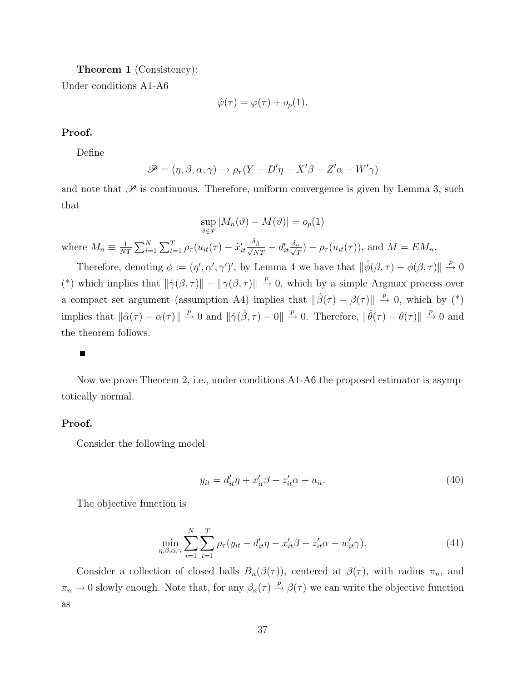Theorem 1 (Consistency):

Under conditions A1-A6

$$
\hat{\varphi}(\tau) = \varphi(\tau) + o_p(1).
$$

#### Proof.

Define

$$
\mathscr{P} = (\eta, \beta, \alpha, \gamma) \to \rho_{\tau}(Y - D'\eta - X'\beta - Z'\alpha - W'\gamma)
$$

and note that  $\mathscr P$  is continuous. Therefore, uniform convergence is given by Lemma 3, such that

$$
\sup_{\vartheta \in \mathscr{V}} |M_n(\vartheta) - M(\vartheta)| = o_p(1)
$$

where  $M_n \equiv \frac{1}{N'}$  $\frac{1}{NT}\sum_{i=1}^{N}\sum_{t=1}^{T} \rho_{\tau}(u_{it}(\tau)-\tilde{x}_{it}^{\prime}\frac{\delta_{\tilde{\beta}}}{\sqrt{NT}}-d_{it}^{\prime}\frac{\delta_{\eta}}{\sqrt{\eta}}$  $\frac{d}{T}$ ) –  $\rho_{\tau}(u_{it}(\tau))$ , and  $M = EM_n$ .

Therefore, denoting  $\phi := (\eta', \alpha', \gamma')'$ , by Lemma 4 we have that  $\|\hat{\phi}(\beta, \tau) - \phi(\beta, \tau)\| \overset{p}{\rightarrow} 0$ (\*) which implies that  $\|\hat{\gamma}(\beta, \tau)\| - \|\gamma(\beta, \tau)\| \stackrel{p}{\to} 0$ , which by a simple Argmax process over a compact set argument (assumption A4) implies that  $\|\hat{\beta}(\tau) - \beta(\tau)\| \stackrel{p}{\to} 0$ , which by (\*) implies that  $\|\hat{\alpha}(\tau) - \alpha(\tau)\| \stackrel{p}{\to} 0$  and  $\|\hat{\gamma}(\hat{\beta}, \tau) - 0\| \stackrel{p}{\to} 0$ . Therefore,  $\|\hat{\theta}(\tau) - \theta(\tau)\| \stackrel{p}{\to} 0$  and the theorem follows.

#### $\blacksquare$

Now we prove Theorem 2, i.e., under conditions A1-A6 the proposed estimator is asymptotically normal.

#### Proof.

Consider the following model

$$
y_{it} = d'_{it}\eta + x'_{it}\beta + z'_{it}\alpha + u_{it}.\tag{40}
$$

The objective function is

$$
\min_{\eta,\beta,\alpha,\gamma} \sum_{i=1}^{N} \sum_{t=1}^{T} \rho_{\tau}(y_{it} - d'_{it}\eta - x'_{it}\beta - z'_{it}\alpha - w'_{it}\gamma). \tag{41}
$$

Consider a collection of closed balls  $B_n(\beta(\tau))$ , centered at  $\beta(\tau)$ , with radius  $\pi_n$ , and  $\pi_n \to 0$  slowly enough. Note that, for any  $\beta_n(\tau) \to \beta(\tau)$  we can write the objective function as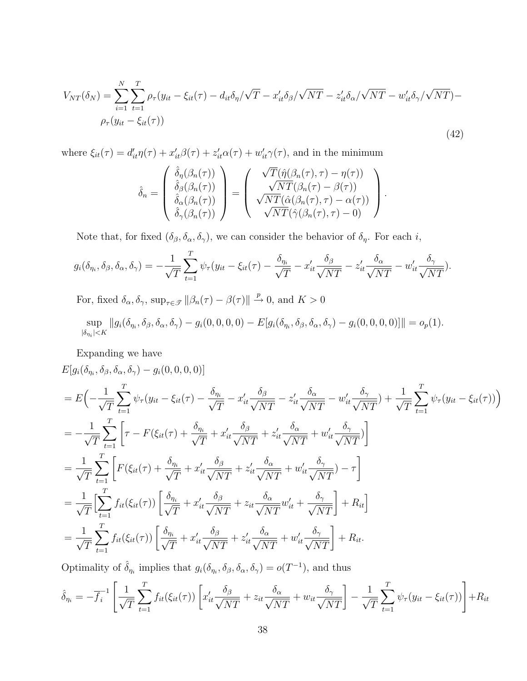$$
V_{NT}(\delta_N) = \sum_{i=1}^{N} \sum_{t=1}^{T} \rho_{\tau}(y_{it} - \xi_{it}(\tau) - d_{it}\delta_{\eta}/\sqrt{T} - x_{it}'\delta_{\beta}/\sqrt{NT} - z_{it}'\delta_{\alpha}/\sqrt{NT} - w_{it}'\delta_{\gamma}/\sqrt{NT}) -
$$
  
\n
$$
\rho_{\tau}(y_{it} - \xi_{it}(\tau))
$$
\n(42)

where  $\xi_{it}(\tau) = d'_{it}\eta(\tau) + x'_{it}\beta(\tau) + z'_{it}\alpha(\tau) + w'_{it}\gamma(\tau)$ , and in the minimum

$$
\hat{\delta}_n = \begin{pmatrix} \hat{\delta}_\eta(\beta_n(\tau)) \\ \hat{\delta}_\beta(\beta_n(\tau)) \\ \hat{\delta}_\alpha(\beta_n(\tau)) \\ \hat{\delta}_\gamma(\beta_n(\tau)) \end{pmatrix} = \begin{pmatrix} \sqrt{T}(\hat{\eta}(\beta_n(\tau), \tau) - \eta(\tau)) \\ \sqrt{NT}(\beta_n(\tau) - \beta(\tau)) \\ \sqrt{NT}(\hat{\alpha}(\beta_n(\tau), \tau) - \alpha(\tau)) \\ \sqrt{NT}(\hat{\gamma}(\beta_n(\tau), \tau) - 0) \end{pmatrix}.
$$

Note that, for fixed  $(\delta_{\beta}, \delta_{\alpha}, \delta_{\gamma})$ , we can consider the behavior of  $\delta_{\eta}$ . For each *i*,

$$
g_i(\delta_{\eta_i}, \delta_\beta, \delta_\alpha, \delta_\gamma) = -\frac{1}{\sqrt{T}} \sum_{t=1}^T \psi_\tau (y_{it} - \xi_{it}(\tau) - \frac{\delta_{\eta_i}}{\sqrt{T}} - x_{it}' \frac{\delta_\beta}{\sqrt{NT}} - z_{it}' \frac{\delta_\alpha}{\sqrt{NT}} - w_{it}' \frac{\delta_\gamma}{\sqrt{NT}}).
$$

For, fixed  $\delta_{\alpha}, \delta_{\gamma}$ ,  $\sup_{\tau \in \mathcal{F}} ||\beta_n(\tau) - \beta(\tau)|| \stackrel{p}{\to} 0$ , and  $K > 0$ 

$$
\sup_{|\delta_{\eta_i}| \le K} ||g_i(\delta_{\eta_i}, \delta_{\beta}, \delta_{\alpha}, \delta_{\gamma}) - g_i(0, 0, 0, 0) - E[g_i(\delta_{\eta_i}, \delta_{\beta}, \delta_{\alpha}, \delta_{\gamma}) - g_i(0, 0, 0, 0)]]|| = o_p(1).
$$

Expanding we have

 $E[g_i(\delta_{\eta_i}, \delta_{\beta}, \delta_{\alpha}, \delta_{\gamma}) - g_i(0, 0, 0, 0)]$ 

$$
= E\left(-\frac{1}{\sqrt{T}}\sum_{t=1}^{T}\psi_{\tau}(y_{it} - \xi_{it}(\tau) - \frac{\delta_{\eta_{i}}}{\sqrt{T}} - x_{it}'\frac{\delta_{\beta}}{\sqrt{NT}} - z_{it}'\frac{\delta_{\alpha}}{\sqrt{NT}} - w_{it}'\frac{\delta_{\gamma}}{\sqrt{NT}}\right) + \frac{1}{\sqrt{T}}\sum_{t=1}^{T}\psi_{\tau}(y_{it} - \xi_{it}(\tau))\right)
$$
  
\n
$$
= -\frac{1}{\sqrt{T}}\sum_{t=1}^{T}\left[\tau - F(\xi_{it}(\tau) + \frac{\delta_{\eta_{i}}}{\sqrt{T}} + x_{it}'\frac{\delta_{\beta}}{\sqrt{NT}} + z_{it}'\frac{\delta_{\alpha}}{\sqrt{NT}} + w_{it}'\frac{\delta_{\gamma}}{\sqrt{NT}}\right]
$$
  
\n
$$
= \frac{1}{\sqrt{T}}\sum_{t=1}^{T}\left[F(\xi_{it}(\tau) + \frac{\delta_{\eta_{i}}}{\sqrt{T}} + x_{it}'\frac{\delta_{\beta}}{\sqrt{NT}} + z_{it}'\frac{\delta_{\alpha}}{\sqrt{NT}} + w_{it}'\frac{\delta_{\gamma}}{\sqrt{NT}}\right) - \tau\right]
$$
  
\n
$$
= \frac{1}{\sqrt{T}}\left[\sum_{t=1}^{T} f_{it}(\xi_{it}(\tau))\left[\frac{\delta_{\eta_{i}}}{\sqrt{T}} + x_{it}'\frac{\delta_{\beta}}{\sqrt{NT}} + z_{it}\frac{\delta_{\alpha}}{\sqrt{NT}}w_{it}' + \frac{\delta_{\gamma}}{\sqrt{NT}}\right] + R_{it}\right]
$$
  
\n
$$
= \frac{1}{\sqrt{T}}\sum_{t=1}^{T} f_{it}(\xi_{it}(\tau))\left[\frac{\delta_{\eta_{i}}}{\sqrt{T}} + x_{it}'\frac{\delta_{\beta}}{\sqrt{NT}} + z_{it}'\frac{\delta_{\alpha}}{\sqrt{NT}} + w_{it}'\frac{\delta_{\gamma}}{\sqrt{NT}}\right] + R_{it}.
$$

Optimality of  $\hat{\delta}_{\eta_i}$  implies that  $g_i(\delta_{\eta_i}, \delta_{\beta}, \delta_{\alpha}, \delta_{\gamma}) = o(T^{-1})$ , and thus

$$
\hat{\delta}_{\eta_i} = -\overline{f}_i^{-1} \left[ \frac{1}{\sqrt{T}} \sum_{t=1}^T f_{it}(\xi_{it}(\tau)) \left[ x_{it}' \frac{\delta_{\beta}}{\sqrt{NT}} + z_{it} \frac{\delta_{\alpha}}{\sqrt{NT}} + w_{it} \frac{\delta_{\gamma}}{\sqrt{NT}} \right] - \frac{1}{\sqrt{T}} \sum_{t=1}^T \psi_{\tau}(y_{it} - \xi_{it}(\tau)) \right] + R_{it}
$$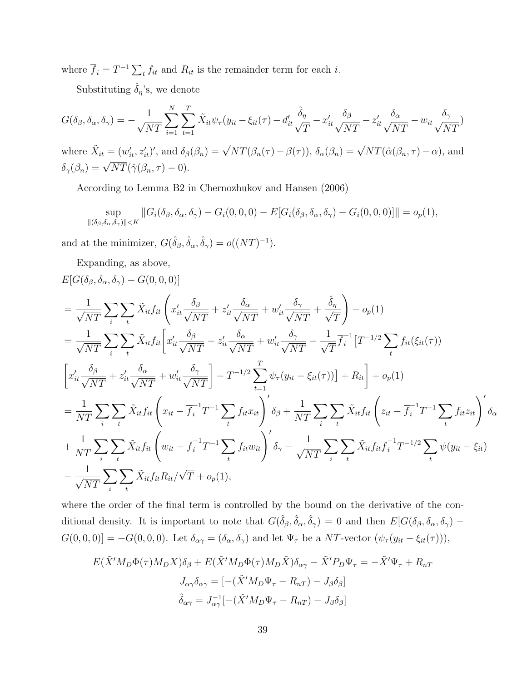where  $\overline{f}_i = T^{-1} \sum_t f_{it}$  and  $R_{it}$  is the remainder term for each *i*.

Substituting  $\hat{\delta}_{\eta}$ 's, we denote

$$
G(\delta_{\beta}, \delta_{\alpha}, \delta_{\gamma}) = -\frac{1}{\sqrt{NT}} \sum_{i=1}^{N} \sum_{t=1}^{T} \tilde{X}_{it} \psi_{\tau} (y_{it} - \xi_{it}(\tau) - d'_{it} \frac{\hat{\delta}_{\eta}}{\sqrt{T}} - x'_{it} \frac{\delta_{\beta}}{\sqrt{NT}} - z'_{it} \frac{\delta_{\alpha}}{\sqrt{NT}} - w_{it} \frac{\delta_{\gamma}}{\sqrt{NT}})
$$

where  $\tilde{X}_{it} = (w'_{it}, z'_{it})'$ , and  $\delta_{\beta}(\beta_n) = \sqrt{NT}(\beta_n(\tau) - \beta(\tau))$ ,  $\delta_{\alpha}(\beta_n) = \sqrt{NT}(\hat{\alpha}(\beta_n, \tau) - \alpha)$ , and  $\delta_{\gamma}(\beta_n) = \sqrt{NT}(\hat{\gamma}(\beta_n, \tau) - 0).$ 

According to Lemma B2 in Chernozhukov and Hansen (2006)

$$
\sup_{\|(\delta_{\beta},\delta_{\alpha},\delta_{\gamma})\|< K} \|G_i(\delta_{\beta},\delta_{\alpha},\delta_{\gamma}) - G_i(0,0,0) - E[G_i(\delta_{\beta},\delta_{\alpha},\delta_{\gamma}) - G_i(0,0,0)]\| = o_p(1),
$$

and at the minimizer,  $G(\hat{\delta}_{\beta}, \hat{\delta}_{\alpha}, \hat{\delta}_{\gamma}) = o((NT)^{-1}).$ 

Expanding, as above,

$$
E[G(\delta_{\beta}, \delta_{\alpha}, \delta_{\gamma}) - G(0, 0, 0)]
$$
\n
$$
= \frac{1}{\sqrt{NT}} \sum_{i} \sum_{t} \tilde{X}_{it} f_{it} \left( x_{it}' \frac{\delta_{\beta}}{\sqrt{NT}} + z_{it}' \frac{\delta_{\alpha}}{\sqrt{NT}} + w_{it}' \frac{\delta_{\gamma}}{\sqrt{NT}} + \frac{\hat{\delta}_{\eta}}{\sqrt{T}} \right) + o_{p}(1)
$$
\n
$$
= \frac{1}{\sqrt{NT}} \sum_{i} \sum_{t} \tilde{X}_{it} f_{it} \left[ x_{it}' \frac{\delta_{\beta}}{\sqrt{NT}} + z_{it}' \frac{\delta_{\alpha}}{\sqrt{NT}} + w_{it}' \frac{\delta_{\gamma}}{\sqrt{NT}} - \frac{1}{\sqrt{T}} \overline{f}_{i}^{-1} \left[ T^{-1/2} \sum_{t} f_{it}(\xi_{it}(\tau)) \right] \right]
$$
\n
$$
\left[ x_{it}' \frac{\delta_{\beta}}{\sqrt{NT}} + z_{it}' \frac{\delta_{\alpha}}{\sqrt{NT}} + w_{it}' \frac{\delta_{\gamma}}{\sqrt{NT}} \right] - T^{-1/2} \sum_{t=1}^{T} \psi_{\tau}(y_{it} - \xi_{it}(\tau)) \right] + R_{it} \right] + o_{p}(1)
$$
\n
$$
= \frac{1}{NT} \sum_{i} \sum_{t} \tilde{X}_{it} f_{it} \left( x_{it} - \overline{f}_{i}^{-1} T^{-1} \sum_{t} f_{it} x_{it} \right)' \delta_{\beta} + \frac{1}{NT} \sum_{i} \sum_{t} \tilde{X}_{it} f_{it} \left( z_{it} - \overline{f}_{i}^{-1} T^{-1} \sum_{t} f_{it} z_{it} \right)' \delta_{\alpha}
$$
\n
$$
+ \frac{1}{NT} \sum_{i} \sum_{t} \tilde{X}_{it} f_{it} \left( w_{it} - \overline{f}_{i}^{-1} T^{-1} \sum_{t} f_{it} w_{it} \right)' \delta_{\gamma} - \frac{1}{\sqrt{NT}} \sum_{i} \sum_{t} \tilde{X}_{it} f_{it} \overline{f}_{i}^{-1} T^{-1/2} \sum_{t} \psi(y_{it} - \xi_{it})
$$
\n
$$
- \frac{1}{\sqrt{NT}} \
$$

where the order of the final term is controlled by the bound on the derivative of the conditional density. It is important to note that  $G(\hat{\delta}_{\beta}, \hat{\delta}_{\alpha}, \hat{\delta}_{\gamma}) = 0$  and then  $E[G(\delta_{\beta}, \delta_{\alpha}, \delta_{\gamma}) G(0,0,0)$ ] =  $-G(0,0,0)$ . Let  $\delta_{\alpha\gamma} = (\delta_{\alpha}, \delta_{\gamma})$  and let  $\Psi_{\tau}$  be a NT-vector  $(\psi_{\tau}(y_{it} - \xi_{it}(\tau))),$ 

$$
E(\tilde{X}'M_D\Phi(\tau)M_DX)\delta_\beta + E(\tilde{X}'M_D\Phi(\tau)M_D\tilde{X})\delta_{\alpha\gamma} - \tilde{X}'P_D\Psi_\tau = -\tilde{X}'\Psi_\tau + R_{nT}
$$

$$
J_{\alpha\gamma}\delta_{\alpha\gamma} = [-(\tilde{X}'M_D\Psi_\tau - R_{nT}) - J_\beta\delta_\beta]
$$

$$
\hat{\delta}_{\alpha\gamma} = J_{\alpha\gamma}^{-1}[-(\tilde{X}'M_D\Psi_\tau - R_{nT}) - J_\beta\delta_\beta]
$$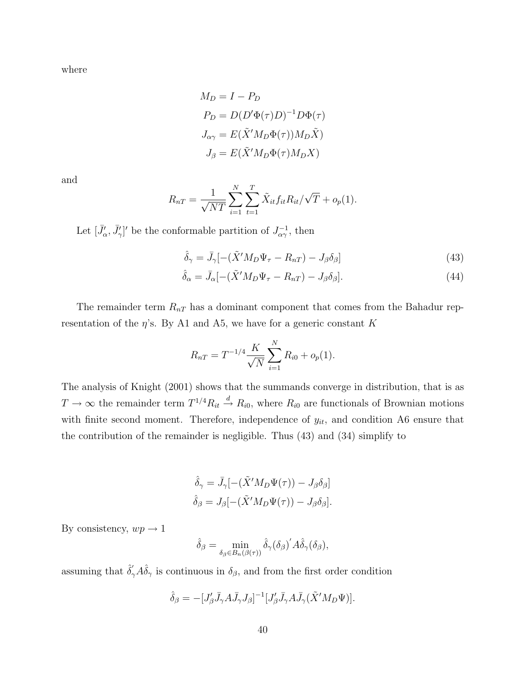where

$$
M_D = I - P_D
$$
  
\n
$$
P_D = D(D'\Phi(\tau)D)^{-1}D\Phi(\tau)
$$
  
\n
$$
J_{\alpha\gamma} = E(\tilde{X}'M_D\Phi(\tau))M_D\tilde{X}
$$
  
\n
$$
J_{\beta} = E(\tilde{X}'M_D\Phi(\tau)M_DX)
$$

and

$$
R_{nT} = \frac{1}{\sqrt{NT}} \sum_{i=1}^{N} \sum_{t=1}^{T} \tilde{X}_{it} f_{it} R_{it} / \sqrt{T} + o_p(1).
$$

Let  $[\bar{J}'_{\alpha}, \bar{J}'_{\gamma}]'$  be the conformable partition of  $J_{\alpha\gamma}^{-1}$ , then

$$
\hat{\delta}_{\gamma} = \bar{J}_{\gamma}[-(\tilde{X}'M_D\Psi_{\tau} - R_{nT}) - J_{\beta}\delta_{\beta}] \tag{43}
$$

$$
\hat{\delta}_{\alpha} = \bar{J}_{\alpha}[-(\tilde{X}'M_{D}\Psi_{\tau} - R_{nT}) - J_{\beta}\delta_{\beta}].
$$
\n(44)

The remainder term  $R_{nT}$  has a dominant component that comes from the Bahadur representation of the  $\eta$ 's. By A1 and A5, we have for a generic constant K

$$
R_{nT} = T^{-1/4} \frac{K}{\sqrt{N}} \sum_{i=1}^{N} R_{i0} + o_p(1).
$$

The analysis of Knight (2001) shows that the summands converge in distribution, that is as  $T \to \infty$  the remainder term  $T^{1/4} R_{it} \stackrel{d}{\to} R_{i0}$ , where  $R_{i0}$  are functionals of Brownian motions with finite second moment. Therefore, independence of  $y_{it}$ , and condition A6 ensure that the contribution of the remainder is negligible. Thus (43) and (34) simplify to

$$
\hat{\delta}_{\gamma} = \bar{J}_{\gamma}[-(\tilde{X}'M_D\Psi(\tau)) - J_{\beta}\delta_{\beta}]
$$
  

$$
\hat{\delta}_{\beta} = J_{\beta}[-(\tilde{X}'M_D\Psi(\tau)) - J_{\beta}\delta_{\beta}].
$$

By consistency,  $wp \to 1$ 

$$
\hat{\delta}_{\beta} = \min_{\delta_{\beta} \in B_n(\beta(\tau))} \hat{\delta}_{\gamma} (\delta_{\beta})' A \hat{\delta}_{\gamma} (\delta_{\beta}),
$$

assuming that  $\hat{\delta}'_{\gamma} A \hat{\delta}_{\gamma}$  is continuous in  $\delta_{\beta}$ , and from the first order condition

$$
\hat{\delta}_{\beta} = -[J'_{\beta}\bar{J}_{\gamma}A\bar{J}_{\gamma}J_{\beta}]^{-1}[J'_{\beta}\bar{J}_{\gamma}A\bar{J}_{\gamma}(\tilde{X}'M_{D}\Psi)].
$$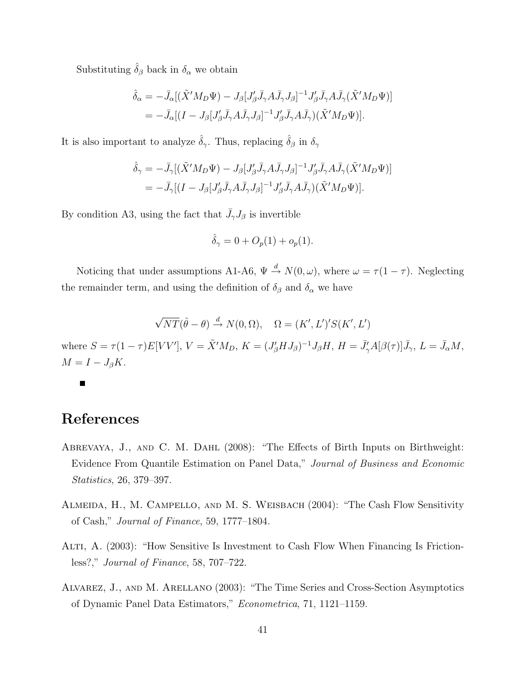Substituting  $\hat{\delta}_{\beta}$  back in  $\delta_{\alpha}$  we obtain

$$
\hat{\delta}_{\alpha} = -\bar{J}_{\alpha} [(\tilde{X}'M_{D}\Psi) - J_{\beta}[J'_{\beta}\bar{J}_{\gamma}A\bar{J}_{\gamma}J_{\beta}]^{-1}J'_{\beta}\bar{J}_{\gamma}A\bar{J}_{\gamma}(\tilde{X}'M_{D}\Psi)]
$$
  
= 
$$
-\bar{J}_{\alpha} [(I - J_{\beta}[J'_{\beta}\bar{J}_{\gamma}A\bar{J}_{\gamma}J_{\beta}]^{-1}J'_{\beta}\bar{J}_{\gamma}A\bar{J}_{\gamma})(\tilde{X}'M_{D}\Psi)].
$$

It is also important to analyze  $\hat{\delta}_{\gamma}$ . Thus, replacing  $\hat{\delta}_{\beta}$  in  $\delta_{\gamma}$ 

$$
\hat{\delta}_{\gamma} = -\bar{J}_{\gamma} [(\tilde{X}'M_D\Psi) - J_{\beta}[J'_{\beta}\bar{J}_{\gamma}A\bar{J}_{\gamma}J_{\beta}]^{-1}J'_{\beta}\bar{J}_{\gamma}A\bar{J}_{\gamma}(\tilde{X}'M_D\Psi)]
$$
  
= 
$$
-\bar{J}_{\gamma} [(I - J_{\beta}[J'_{\beta}\bar{J}_{\gamma}A\bar{J}_{\gamma}J_{\beta}]^{-1}J'_{\beta}\bar{J}_{\gamma}A\bar{J}_{\gamma})(\tilde{X}'M_D\Psi)].
$$

By condition A3, using the fact that  $\bar{J}_{\gamma}J_{\beta}$  is invertible

$$
\hat{\delta}_{\gamma} = 0 + O_p(1) + o_p(1).
$$

Noticing that under assumptions A1-A6,  $\Psi \stackrel{d}{\rightarrow} N(0,\omega)$ , where  $\omega = \tau(1-\tau)$ . Neglecting the remainder term, and using the definition of  $\delta_{\beta}$  and  $\delta_{\alpha}$  we have

$$
\sqrt{NT}(\hat{\theta} - \theta) \stackrel{d}{\rightarrow} N(0, \Omega), \quad \Omega = (K', L')' S(K', L')
$$

where  $S = \tau (1 - \tau) E[VV']$ ,  $V = \tilde{X}' M_D$ ,  $K = (J'_{\beta} H J_{\beta})^{-1} J_{\beta} H$ ,  $H = \bar{J}'_{\gamma} A[\beta(\tau)] \bar{J}_{\gamma}$ ,  $L = \bar{J}_{\alpha} M$ ,  $M = I - J_{\beta}K.$ 

Г

## References

- Abrevaya, J., and C. M. Dahl (2008): "The Effects of Birth Inputs on Birthweight: Evidence From Quantile Estimation on Panel Data," Journal of Business and Economic Statistics, 26, 379–397.
- Almeida, H., M. Campello, and M. S. Weisbach (2004): "The Cash Flow Sensitivity of Cash," Journal of Finance, 59, 1777–1804.
- Alti, A. (2003): "How Sensitive Is Investment to Cash Flow When Financing Is Frictionless?," Journal of Finance, 58, 707–722.
- Alvarez, J., and M. Arellano (2003): "The Time Series and Cross-Section Asymptotics of Dynamic Panel Data Estimators," Econometrica, 71, 1121–1159.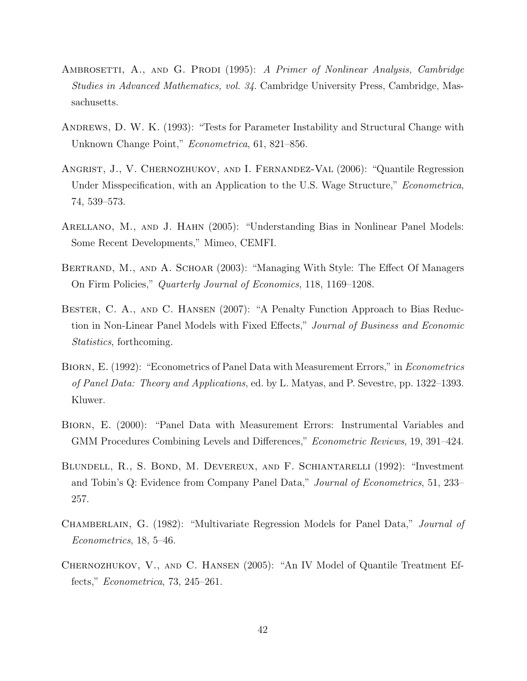- AMBROSETTI, A., AND G. PRODI (1995): A Primer of Nonlinear Analysis, Cambridge Studies in Advanced Mathematics, vol. 34. Cambridge University Press, Cambridge, Massachusetts.
- Andrews, D. W. K. (1993): "Tests for Parameter Instability and Structural Change with Unknown Change Point," Econometrica, 61, 821–856.
- Angrist, J., V. Chernozhukov, and I. Fernandez-Val (2006): "Quantile Regression Under Misspecification, with an Application to the U.S. Wage Structure," *Econometrica*, 74, 539–573.
- ARELLANO, M., AND J. HAHN (2005): "Understanding Bias in Nonlinear Panel Models: Some Recent Developments," Mimeo, CEMFI.
- BERTRAND, M., AND A. SCHOAR (2003): "Managing With Style: The Effect Of Managers On Firm Policies," Quarterly Journal of Economics, 118, 1169–1208.
- Bester, C. A., and C. Hansen (2007): "A Penalty Function Approach to Bias Reduction in Non-Linear Panel Models with Fixed Effects," Journal of Business and Economic Statistics, forthcoming.
- BIORN, E. (1992): "Econometrics of Panel Data with Measurement Errors," in *Econometrics* of Panel Data: Theory and Applications, ed. by L. Matyas, and P. Sevestre, pp. 1322–1393. Kluwer.
- Biorn, E. (2000): "Panel Data with Measurement Errors: Instrumental Variables and GMM Procedures Combining Levels and Differences," Econometric Reviews, 19, 391–424.
- Blundell, R., S. Bond, M. Devereux, and F. Schiantarelli (1992): "Investment and Tobin's Q: Evidence from Company Panel Data," Journal of Econometrics, 51, 233– 257.
- CHAMBERLAIN, G. (1982): "Multivariate Regression Models for Panel Data," *Journal of* Econometrics, 18, 5–46.
- Chernozhukov, V., and C. Hansen (2005): "An IV Model of Quantile Treatment Effects," Econometrica, 73, 245–261.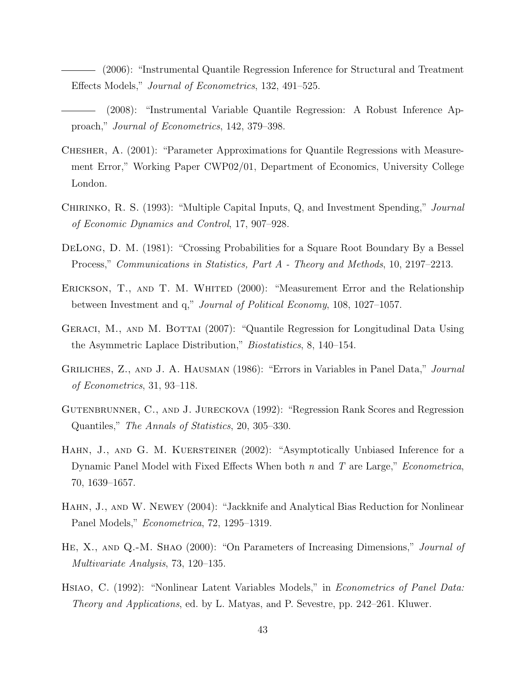(2006): "Instrumental Quantile Regression Inference for Structural and Treatment Effects Models," Journal of Econometrics, 132, 491–525.

- (2008): "Instrumental Variable Quantile Regression: A Robust Inference Approach," Journal of Econometrics, 142, 379–398.
- Chesher, A. (2001): "Parameter Approximations for Quantile Regressions with Measurement Error," Working Paper CWP02/01, Department of Economics, University College London.
- CHIRINKO, R. S. (1993): "Multiple Capital Inputs, Q, and Investment Spending," Journal of Economic Dynamics and Control, 17, 907–928.
- DeLong, D. M. (1981): "Crossing Probabilities for a Square Root Boundary By a Bessel Process," Communications in Statistics, Part A - Theory and Methods, 10, 2197–2213.
- ERICKSON, T., AND T. M. WHITED (2000): "Measurement Error and the Relationship between Investment and q," Journal of Political Economy, 108, 1027–1057.
- GERACI, M., AND M. BOTTAI (2007): "Quantile Regression for Longitudinal Data Using the Asymmetric Laplace Distribution," Biostatistics, 8, 140–154.
- GRILICHES, Z., AND J. A. HAUSMAN (1986): "Errors in Variables in Panel Data," Journal of Econometrics, 31, 93–118.
- GUTENBRUNNER, C., AND J. JURECKOVA (1992): "Regression Rank Scores and Regression Quantiles," The Annals of Statistics, 20, 305–330.
- HAHN, J., AND G. M. KUERSTEINER (2002): "Asymptotically Unbiased Inference for a Dynamic Panel Model with Fixed Effects When both n and T are Large," *Econometrica*, 70, 1639–1657.
- Hahn, J., and W. Newey (2004): "Jackknife and Analytical Bias Reduction for Nonlinear Panel Models," Econometrica, 72, 1295–1319.
- HE, X., AND Q.-M. SHAO (2000): "On Parameters of Increasing Dimensions," *Journal of* Multivariate Analysis, 73, 120–135.
- HSIAO, C. (1992): "Nonlinear Latent Variables Models," in *Econometrics of Panel Data:* Theory and Applications, ed. by L. Matyas, and P. Sevestre, pp. 242–261. Kluwer.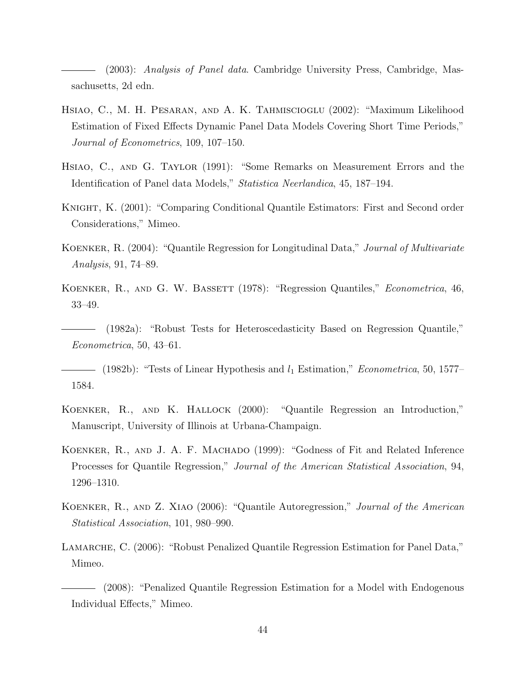(2003): Analysis of Panel data. Cambridge University Press, Cambridge, Massachusetts, 2d edn.

- Hsiao, C., M. H. Pesaran, and A. K. Tahmiscioglu (2002): "Maximum Likelihood Estimation of Fixed Effects Dynamic Panel Data Models Covering Short Time Periods," Journal of Econometrics, 109, 107–150.
- Hsiao, C., and G. Taylor (1991): "Some Remarks on Measurement Errors and the Identification of Panel data Models," Statistica Neerlandica, 45, 187–194.
- Knight, K. (2001): "Comparing Conditional Quantile Estimators: First and Second order Considerations," Mimeo.
- KOENKER, R. (2004): "Quantile Regression for Longitudinal Data," Journal of Multivariate Analysis, 91, 74–89.
- KOENKER, R., AND G. W. BASSETT (1978): "Regression Quantiles," *Econometrica*, 46, 33–49.
- (1982a): "Robust Tests for Heteroscedasticity Based on Regression Quantile," Econometrica, 50, 43–61.
- (1982b): "Tests of Linear Hypothesis and  $l_1$  Estimation," *Econometrica*, 50, 1577– 1584.
- Koenker, R., and K. Hallock (2000): "Quantile Regression an Introduction," Manuscript, University of Illinois at Urbana-Champaign.
- Koenker, R., and J. A. F. Machado (1999): "Godness of Fit and Related Inference Processes for Quantile Regression," Journal of the American Statistical Association, 94, 1296–1310.
- KOENKER, R., AND Z. XIAO (2006): "Quantile Autoregression," Journal of the American Statistical Association, 101, 980–990.
- LAMARCHE, C. (2006): "Robust Penalized Quantile Regression Estimation for Panel Data," Mimeo.
- (2008): "Penalized Quantile Regression Estimation for a Model with Endogenous Individual Effects," Mimeo.